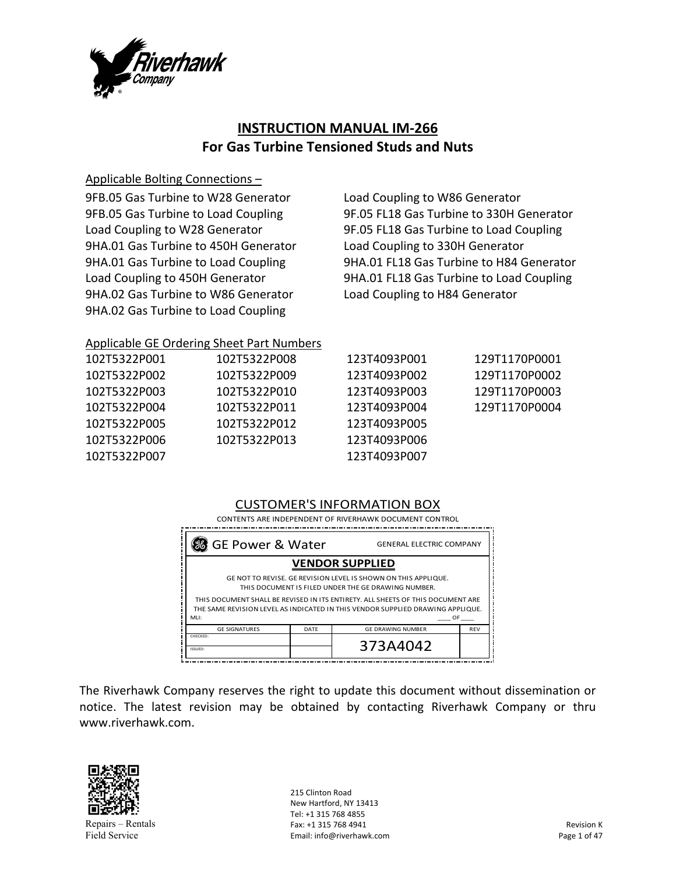

# **INSTRUCTION MANUAL IM‐266 For Gas Turbine Tensioned Studs and Nuts**

### Applicable Bolting Connections –

9FB.05 Gas Turbine to W28 Generator 9FB.05 Gas Turbine to Load Coupling Load Coupling to W28 Generator 9HA.01 Gas Turbine to 450H Generator 9HA.01 Gas Turbine to Load Coupling Load Coupling to 450H Generator 9HA.02 Gas Turbine to W86 Generator 9HA.02 Gas Turbine to Load Coupling

Load Coupling to W86 Generator 9F.05 FL18 Gas Turbine to 330H Generator 9F.05 FL18 Gas Turbine to Load Coupling Load Coupling to 330H Generator 9HA.01 FL18 Gas Turbine to H84 Generator 9HA.01 FL18 Gas Turbine to Load Coupling Load Coupling to H84 Generator

# Applicable GE Ordering Sheet Part Numbers

| 102T5322P001 | 102T5322P008 | 123T4093P001 | 129T1170P0001 |
|--------------|--------------|--------------|---------------|
| 102T5322P002 | 102T5322P009 | 123T4093P002 | 129T1170P0002 |
| 102T5322P003 | 102T5322P010 | 123T4093P003 | 129T1170P0003 |
| 102T5322P004 | 102T5322P011 | 123T4093P004 | 129T1170P0004 |
| 102T5322P005 | 102T5322P012 | 123T4093P005 |               |
| 102T5322P006 | 102T5322P013 | 123T4093P006 |               |
| 102T5322P007 |              | 123T4093P007 |               |
|              |              |              |               |

# CUSTOMER'S INFORMATION BOX

 CONTENTS ARE INDEPENDENT OF RIVERHAWK DOCUMENT CONTROL

| GE Power & Water §                                                                                                                                                |                        | <b>GENERAL ELECTRIC COMPANY</b> |            |  |  |
|-------------------------------------------------------------------------------------------------------------------------------------------------------------------|------------------------|---------------------------------|------------|--|--|
|                                                                                                                                                                   | <b>VENDOR SUPPLIED</b> |                                 |            |  |  |
| GE NOT TO REVISE. GE REVISION LEVEL IS SHOWN ON THIS APPLIQUE.<br>THIS DOCUMENT IS FILED UNDER THE GE DRAWING NUMBER.                                             |                        |                                 |            |  |  |
| THIS DOCUMENT SHALL BE REVISED IN ITS ENTIRETY. ALL SHEETS OF THIS DOCUMENT ARE<br>THE SAME REVISION LEVEL AS INDICATED IN THIS VENDOR SUPPLIED DRAWING APPLIQUE. |                        |                                 |            |  |  |
| MLI:<br>OF                                                                                                                                                        |                        |                                 |            |  |  |
| <b>GE SIGNATURES</b>                                                                                                                                              | DATE                   | <b>GE DRAWING NUMBER</b>        | <b>REV</b> |  |  |
| CHECKED:<br>ISSUED:                                                                                                                                               |                        | 373A4042                        |            |  |  |

The Riverhawk Company reserves the right to update this document without dissemination or notice. The latest revision may be obtained by contacting Riverhawk Company or thru www.riverhawk.com.



215 Clinton Road New Hartford, NY 13413 Tel: +1 315 768 4855 Fax: +1 315 768 4941 Email: info@riverhawk.com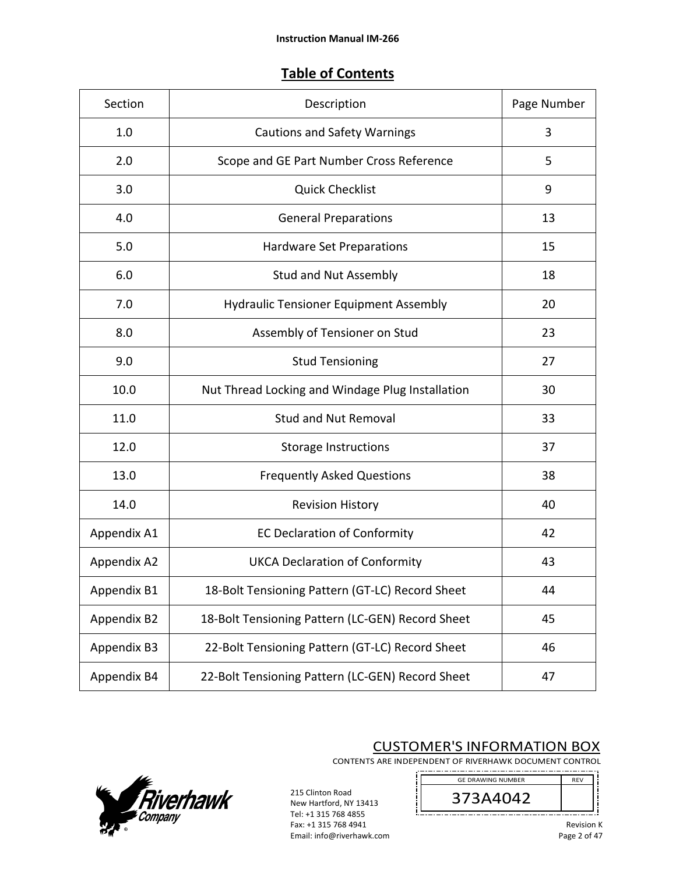# **Table of Contents**

| Section     | Description                                      | Page Number |
|-------------|--------------------------------------------------|-------------|
| 1.0         | <b>Cautions and Safety Warnings</b>              | 3           |
| 2.0         | Scope and GE Part Number Cross Reference         | 5           |
| 3.0         | <b>Quick Checklist</b>                           | 9           |
| 4.0         | <b>General Preparations</b>                      | 13          |
| 5.0         | Hardware Set Preparations                        | 15          |
| 6.0         | <b>Stud and Nut Assembly</b>                     | 18          |
| 7.0         | <b>Hydraulic Tensioner Equipment Assembly</b>    | 20          |
| 8.0         | Assembly of Tensioner on Stud                    | 23          |
| 9.0         | <b>Stud Tensioning</b>                           | 27          |
| 10.0        | Nut Thread Locking and Windage Plug Installation | 30          |
| 11.0        | <b>Stud and Nut Removal</b>                      | 33          |
| 12.0        | <b>Storage Instructions</b>                      | 37          |
| 13.0        | <b>Frequently Asked Questions</b>                | 38          |
| 14.0        | <b>Revision History</b>                          | 40          |
| Appendix A1 | <b>EC Declaration of Conformity</b>              | 42          |
| Appendix A2 | <b>UKCA Declaration of Conformity</b>            | 43          |
| Appendix B1 | 18-Bolt Tensioning Pattern (GT-LC) Record Sheet  | 44          |
| Appendix B2 | 18-Bolt Tensioning Pattern (LC-GEN) Record Sheet | 45          |
| Appendix B3 | 22-Bolt Tensioning Pattern (GT-LC) Record Sheet  | 46          |
| Appendix B4 | 22-Bolt Tensioning Pattern (LC-GEN) Record Sheet | 47          |



CUSTOMER'S INFORMATION BOX

CONTENTS ARE INDEPENDENT OF RIVERHAWK DOCUMENT CONTROL 

j

GE DRAWING NUMBER 373A4042 -------

215 Clinton Road New Hartford, NY 13413 Tel: +1 315 768 4855 Fax: +1 315 768 4941 Email: info@riverhawk.com

ιï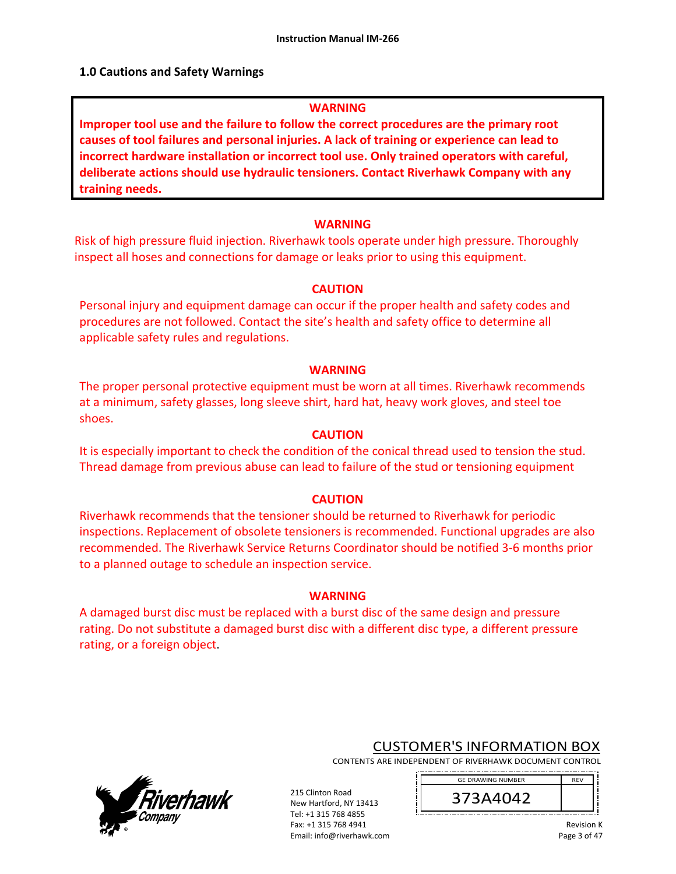### **1.0 Cautions and Safety Warnings**

#### **WARNING**

**Improper tool use and the failure to follow the correct procedures are the primary root causes of tool failures and personal injuries. A lack of training or experience can lead to incorrect hardware installation or incorrect tool use. Only trained operators with careful, deliberate actions should use hydraulic tensioners. Contact Riverhawk Company with any training needs.** 

#### **WARNING**

Risk of high pressure fluid injection. Riverhawk tools operate under high pressure. Thoroughly inspect all hoses and connections for damage or leaks prior to using this equipment.

#### **CAUTION**

Personal injury and equipment damage can occur if the proper health and safety codes and procedures are not followed. Contact the site's health and safety office to determine all applicable safety rules and regulations.

#### **WARNING**

The proper personal protective equipment must be worn at all times. Riverhawk recommends at a minimum, safety glasses, long sleeve shirt, hard hat, heavy work gloves, and steel toe shoes.

#### **CAUTION**

It is especially important to check the condition of the conical thread used to tension the stud. Thread damage from previous abuse can lead to failure of the stud or tensioning equipment

#### **CAUTION**

Riverhawk recommends that the tensioner should be returned to Riverhawk for periodic inspections. Replacement of obsolete tensioners is recommended. Functional upgrades are also recommended. The Riverhawk Service Returns Coordinator should be notified 3‐6 months prior to a planned outage to schedule an inspection service.

#### **WARNING**

A damaged burst disc must be replaced with a burst disc of the same design and pressure rating. Do not substitute a damaged burst disc with a different disc type, a different pressure rating, or a foreign object.

> 215 Clinton Road New Hartford, NY 13413 Tel: +1 315 768 4855 Fax: +1 315 768 4941 Email: info@riverhawk.com



# CUSTOMER'S INFORMATION BOX

CONTENTS ARE INDEPENDENT OF RIVERHAWK DOCUMENT CONTROL 

> REV 373A4042 GE DRAWING NUMBER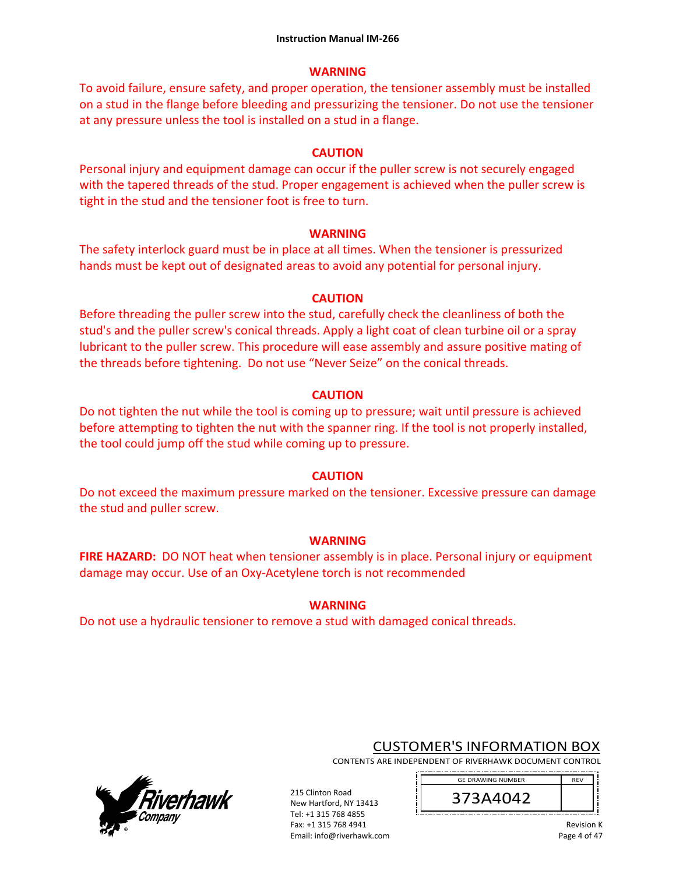## **WARNING**

To avoid failure, ensure safety, and proper operation, the tensioner assembly must be installed on a stud in the flange before bleeding and pressurizing the tensioner. Do not use the tensioner at any pressure unless the tool is installed on a stud in a flange.

# **CAUTION**

Personal injury and equipment damage can occur if the puller screw is not securely engaged with the tapered threads of the stud. Proper engagement is achieved when the puller screw is tight in the stud and the tensioner foot is free to turn.

# **WARNING**

The safety interlock guard must be in place at all times. When the tensioner is pressurized hands must be kept out of designated areas to avoid any potential for personal injury.

# **CAUTION**

Before threading the puller screw into the stud, carefully check the cleanliness of both the stud's and the puller screw's conical threads. Apply a light coat of clean turbine oil or a spray lubricant to the puller screw. This procedure will ease assembly and assure positive mating of the threads before tightening. Do not use "Never Seize" on the conical threads.

# **CAUTION**

Do not tighten the nut while the tool is coming up to pressure; wait until pressure is achieved before attempting to tighten the nut with the spanner ring. If the tool is not properly installed, the tool could jump off the stud while coming up to pressure.

# **CAUTION**

Do not exceed the maximum pressure marked on the tensioner. Excessive pressure can damage the stud and puller screw.

# **WARNING**

**FIRE HAZARD:** DO NOT heat when tensioner assembly is in place. Personal injury or equipment damage may occur. Use of an Oxy‐Acetylene torch is not recommended

# **WARNING**

215 Clinton Road New Hartford, NY 13413 Tel: +1 315 768 4855 Fax: +1 315 768 4941 Email: info@riverhawk.com

Do not use a hydraulic tensioner to remove a stud with damaged conical threads.



# CUSTOMER'S INFORMATION BOX

CONTENTS ARE INDEPENDENT OF RIVERHAWK DOCUMENT CONTROL 

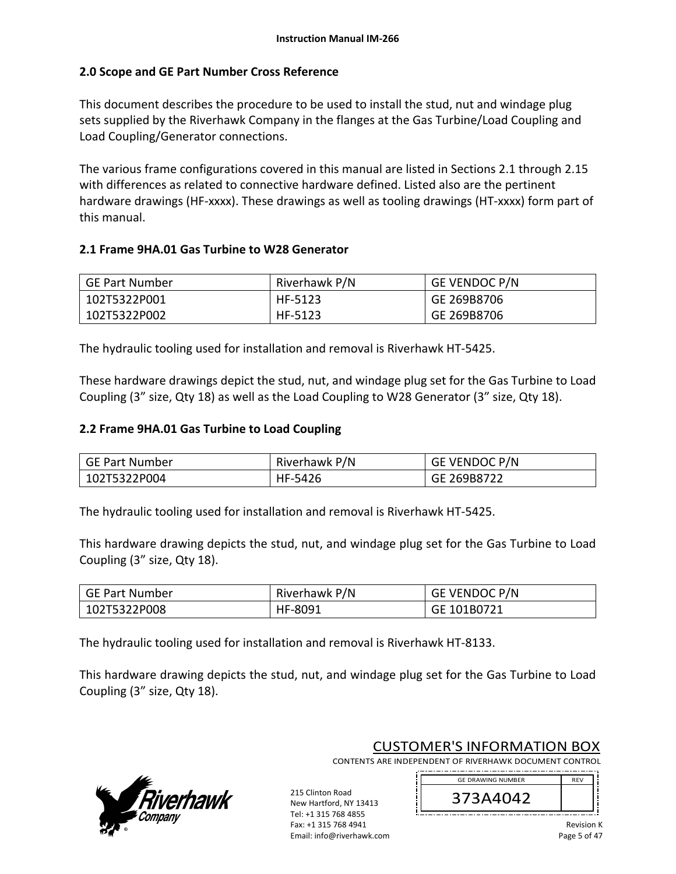# **2.0 Scope and GE Part Number Cross Reference**

This document describes the procedure to be used to install the stud, nut and windage plug sets supplied by the Riverhawk Company in the flanges at the Gas Turbine/Load Coupling and Load Coupling/Generator connections.

The various frame configurations covered in this manual are listed in Sections 2.1 through 2.15 with differences as related to connective hardware defined. Listed also are the pertinent hardware drawings (HF-xxxx). These drawings as well as tooling drawings (HT-xxxx) form part of this manual.

### **2.1 Frame 9HA.01 Gas Turbine to W28 Generator**

| GE Part Number | Riverhawk P/N | <b>GE VENDOC P/N</b> |
|----------------|---------------|----------------------|
| 102T5322P001   | HF-5123       | GE 269B8706          |
| 102T5322P002   | HF-5123       | GE 269B8706          |

The hydraulic tooling used for installation and removal is Riverhawk HT‐5425.

These hardware drawings depict the stud, nut, and windage plug set for the Gas Turbine to Load Coupling (3" size, Qty 18) as well as the Load Coupling to W28 Generator (3" size, Qty 18).

### **2.2 Frame 9HA.01 Gas Turbine to Load Coupling**

| GE Part Number | Riverhawk P/N | <b>GE VENDOC P/N</b> |
|----------------|---------------|----------------------|
| 102T5322P004   | HF-5426       | GE 269B8722          |

The hydraulic tooling used for installation and removal is Riverhawk HT‐5425.

This hardware drawing depicts the stud, nut, and windage plug set for the Gas Turbine to Load Coupling (3" size, Qty 18).

| GE Part Number | Riverhawk P/N | GE VENDOC P/N |
|----------------|---------------|---------------|
| 102T5322P008   | HF-8091       | GE 101B0721   |

The hydraulic tooling used for installation and removal is Riverhawk HT‐8133.

This hardware drawing depicts the stud, nut, and windage plug set for the Gas Turbine to Load Coupling (3" size, Qty 18).



CUSTOMER'S INFORMATION BOX

CONTENTS ARE INDEPENDENT OF RIVERHAWK DOCUMENT CONTROL 

215 Clinton Road New Hartford, NY 13413 Tel: +1 315 768 4855 Fax: +1 315 768 4941 Email: info@riverhawk.com

GE DRAWING NUMBER REV 373A4042 \_\_\_\_\_\_\_\_\_\_\_\_\_\_\_\_\_\_\_\_\_\_\_\_\_\_\_\_\_\_\_\_\_\_\_\_

> Revision K Page 5 of 47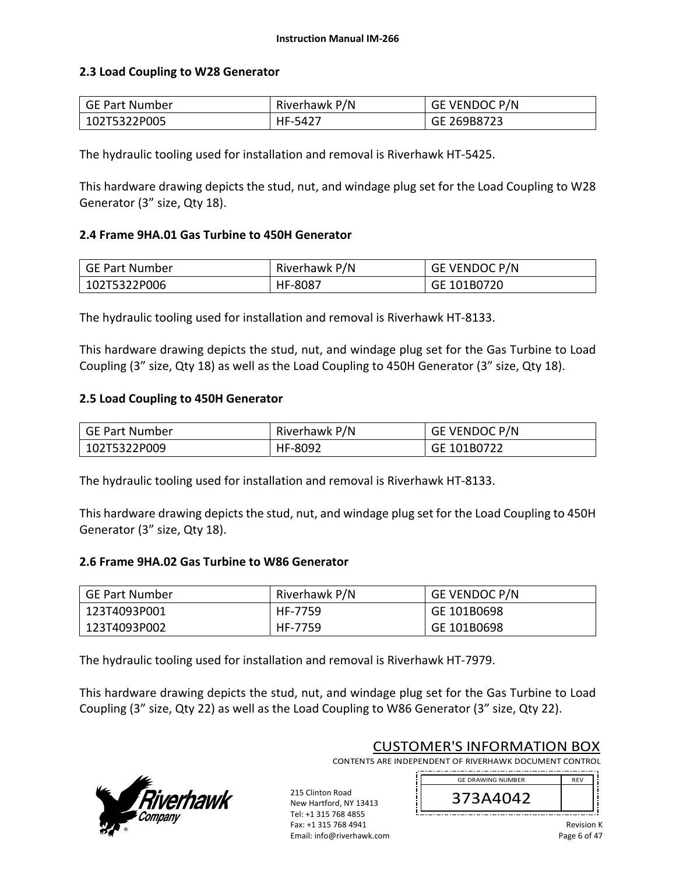### **2.3 Load Coupling to W28 Generator**

| GE Part Number | Riverhawk P/N | <b>GE VENDOC P/N</b> |
|----------------|---------------|----------------------|
| 102T5322P005   | HF-5427       | GE 269B8723          |

The hydraulic tooling used for installation and removal is Riverhawk HT‐5425.

This hardware drawing depicts the stud, nut, and windage plug set for the Load Coupling to W28 Generator (3" size, Qty 18).

### **2.4 Frame 9HA.01 Gas Turbine to 450H Generator**

| GE Part Number | Riverhawk P/N | GE VENDOC P/N |
|----------------|---------------|---------------|
| 102T5322P006   | HF-8087       | GE 101B0720   |

The hydraulic tooling used for installation and removal is Riverhawk HT‐8133.

This hardware drawing depicts the stud, nut, and windage plug set for the Gas Turbine to Load Coupling (3" size, Qty 18) as well as the Load Coupling to 450H Generator (3" size, Qty 18).

### **2.5 Load Coupling to 450H Generator**

| GE Part Number | Riverhawk P/N | <b>GE VENDOC P/N</b> |
|----------------|---------------|----------------------|
| 102T5322P009   | HF-8092       | GE 101B0722          |

The hydraulic tooling used for installation and removal is Riverhawk HT‐8133.

This hardware drawing depicts the stud, nut, and windage plug set for the Load Coupling to 450H Generator (3" size, Qty 18).

### **2.6 Frame 9HA.02 Gas Turbine to W86 Generator**

| GE Part Number | Riverhawk P/N | <b>GE VENDOC P/N</b> |
|----------------|---------------|----------------------|
| 123T4093P001   | HF-7759       | GE 101B0698          |
| 123T4093P002   | HF-7759       | GE 101B0698          |

The hydraulic tooling used for installation and removal is Riverhawk HT‐7979.

This hardware drawing depicts the stud, nut, and windage plug set for the Gas Turbine to Load Coupling (3" size, Qty 22) as well as the Load Coupling to W86 Generator (3" size, Qty 22).



CUSTOMER'S INFORMATION BOX

CONTENTS ARE INDEPENDENT OF RIVERHAWK DOCUMENT CONTROL 

215 Clinton Road New Hartford, NY 13413 Tel: +1 315 768 4855 Fax: +1 315 768 4941 Email: info@riverhawk.com

GE DRAWING NUMBER REV 373A4042 ----------------------------------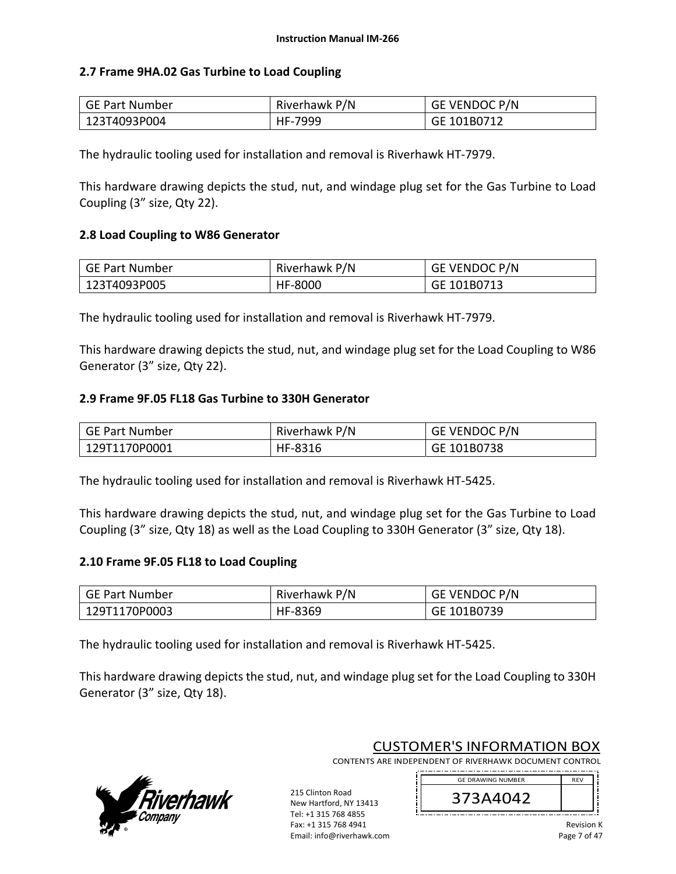### **2.7 Frame 9HA.02 Gas Turbine to Load Coupling**

| GE Part Number | Riverhawk P/N | <b>GE VENDOC P/N</b> |
|----------------|---------------|----------------------|
| 123T4093P004   | HF-7999       | GE 101B0712          |

The hydraulic tooling used for installation and removal is Riverhawk HT‐7979.

This hardware drawing depicts the stud, nut, and windage plug set for the Gas Turbine to Load Coupling (3" size, Qty 22).

#### **2.8 Load Coupling to W86 Generator**

| GE Part Number | Riverhawk P/N | <b>GE VENDOC P/N</b> |
|----------------|---------------|----------------------|
| 123T4093P005   | HF-8000       | GE 101B0713          |

The hydraulic tooling used for installation and removal is Riverhawk HT‐7979.

This hardware drawing depicts the stud, nut, and windage plug set for the Load Coupling to W86 Generator (3" size, Qty 22).

#### **2.9 Frame 9F.05 FL18 Gas Turbine to 330H Generator**

| GE Part Number | Riverhawk P/N | <b>GE VENDOC P/N</b> |
|----------------|---------------|----------------------|
| 129T1170P0001  | HF-8316       | GE 101B0738          |

The hydraulic tooling used for installation and removal is Riverhawk HT‐5425.

This hardware drawing depicts the stud, nut, and windage plug set for the Gas Turbine to Load Coupling (3" size, Qty 18) as well as the Load Coupling to 330H Generator (3" size, Qty 18).

### **2.10 Frame 9F.05 FL18 to Load Coupling**

| GE Part Number | Riverhawk P/N | GE VENDOC P/N |
|----------------|---------------|---------------|
| 129T1170P0003  | HF-8369       | GE 101B0739   |

The hydraulic tooling used for installation and removal is Riverhawk HT‐5425.

This hardware drawing depicts the stud, nut, and windage plug set for the Load Coupling to 330H Generator (3" size, Qty 18).

> 215 Clinton Road New Hartford, NY 13413 Tel: +1 315 768 4855 Fax: +1 315 768 4941 Email: info@riverhawk.com



CUSTOMER'S INFORMATION BOX

CONTENTS ARE INDEPENDENT OF RIVERHAWK DOCUMENT CONTROL 

> 373A4042 GE DRAWING NUMBER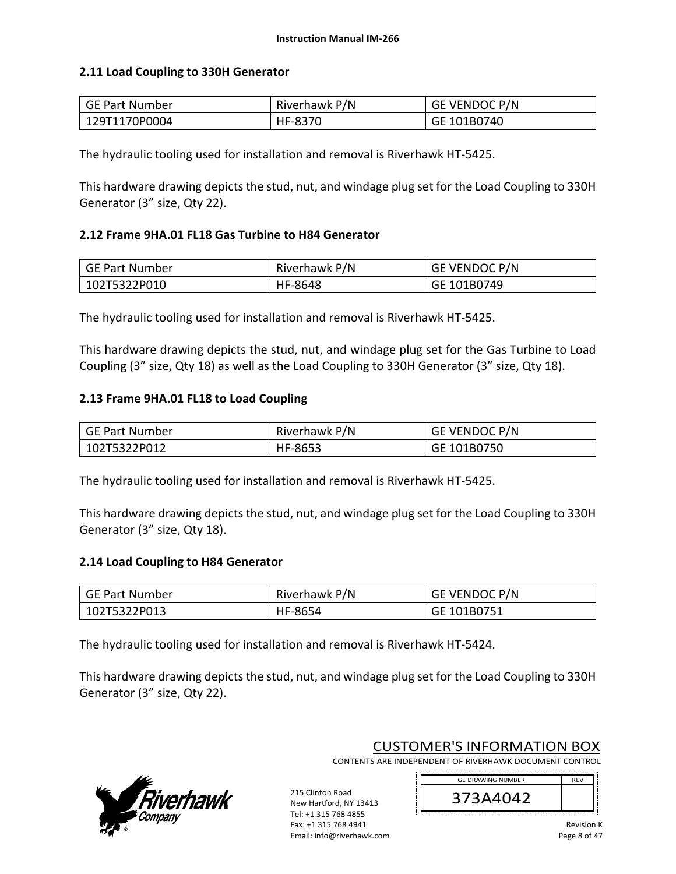### **2.11 Load Coupling to 330H Generator**

| GE Part Number | Riverhawk P/N | GE VENDOC P/N |
|----------------|---------------|---------------|
| 129T1170P0004  | HF-8370       | GE 101B0740   |

The hydraulic tooling used for installation and removal is Riverhawk HT‐5425.

This hardware drawing depicts the stud, nut, and windage plug set for the Load Coupling to 330H Generator (3" size, Qty 22).

#### **2.12 Frame 9HA.01 FL18 Gas Turbine to H84 Generator**

| GE Part Number | Riverhawk P/N | <b>GE VENDOC P/N</b> |
|----------------|---------------|----------------------|
| 102T5322P010   | HF-8648       | GE 101B0749          |

The hydraulic tooling used for installation and removal is Riverhawk HT‐5425.

This hardware drawing depicts the stud, nut, and windage plug set for the Gas Turbine to Load Coupling (3" size, Qty 18) as well as the Load Coupling to 330H Generator (3" size, Qty 18).

#### **2.13 Frame 9HA.01 FL18 to Load Coupling**

| GE Part Number | Riverhawk P/N | <b>GE VENDOC P/N</b> |
|----------------|---------------|----------------------|
| 102T5322P012   | HF-8653       | GE 101B0750          |

The hydraulic tooling used for installation and removal is Riverhawk HT‐5425.

This hardware drawing depicts the stud, nut, and windage plug set for the Load Coupling to 330H Generator (3" size, Qty 18).

### **2.14 Load Coupling to H84 Generator**

| GE Part Number | Riverhawk P/N | GE VENDOC P/N |
|----------------|---------------|---------------|
| 102T5322P013   | HF-8654       | GE 101B0751   |

The hydraulic tooling used for installation and removal is Riverhawk HT‐5424.

This hardware drawing depicts the stud, nut, and windage plug set for the Load Coupling to 330H Generator (3" size, Qty 22).



CUSTOMER'S INFORMATION BOX

CONTENTS ARE INDEPENDENT OF RIVERHAWK DOCUMENT CONTROL 

215 Clinton Road New Hartford, NY 13413 Tel: +1 315 768 4855 Fax: +1 315 768 4941 Email: info@riverhawk.com

GE DRAWING NUMBER REV 373A4042 

> Revision K Page 8 of 47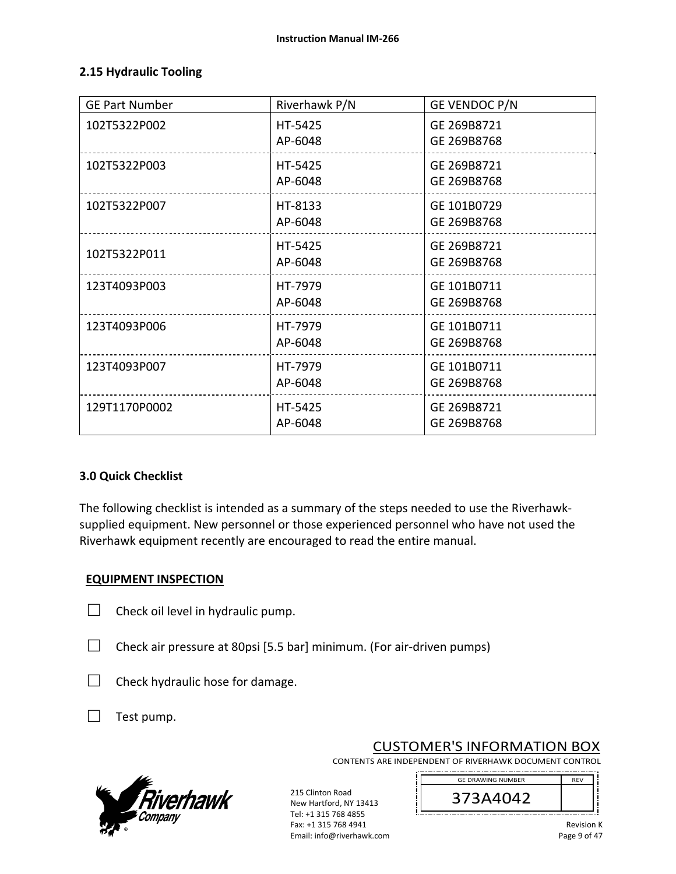#### **2.15 Hydraulic Tooling**

| <b>GE Part Number</b> | Riverhawk P/N      | <b>GE VENDOC P/N</b>       |
|-----------------------|--------------------|----------------------------|
| 102T5322P002          | HT-5425<br>AP-6048 | GE 269B8721<br>GE 269B8768 |
| 102T5322P003          | HT-5425<br>AP-6048 | GE 269B8721<br>GE 269B8768 |
| 102T5322P007          | HT-8133<br>AP-6048 | GE 101B0729<br>GE 269B8768 |
| 102T5322P011          | HT-5425<br>AP-6048 | GE 269B8721<br>GE 269B8768 |
| 123T4093P003          | HT-7979<br>AP-6048 | GE 101B0711<br>GE 269B8768 |
| 123T4093P006          | HT-7979<br>AP-6048 | GE 101B0711<br>GE 269B8768 |
| 123T4093P007          | HT-7979<br>AP-6048 | GE 101B0711<br>GE 269B8768 |
| 129T1170P0002         | HT-5425<br>AP-6048 | GE 269B8721<br>GE 269B8768 |

#### **3.0 Quick Checklist**

The following checklist is intended as a summary of the steps needed to use the Riverhawk‐ supplied equipment. New personnel or those experienced personnel who have not used the Riverhawk equipment recently are encouraged to read the entire manual.

#### **EQUIPMENT INSPECTION**

- $\Box$  Check oil level in hydraulic pump.
- $\Box$  Check air pressure at 80psi [5.5 bar] minimum. (For air-driven pumps)

215 Clinton Road New Hartford, NY 13413 Tel: +1 315 768 4855 Fax: +1 315 768 4941 Email: info@riverhawk.com

- $\Box$  Check hydraulic hose for damage.
- $\Box$  Test pump.



CUSTOMER'S INFORMATION BOX

CONTENTS ARE INDEPENDENT OF RIVERHAWK DOCUMENT CONTROL 

> GE DRAWING NUMBER 373A4042



Revision K Page 9 of 47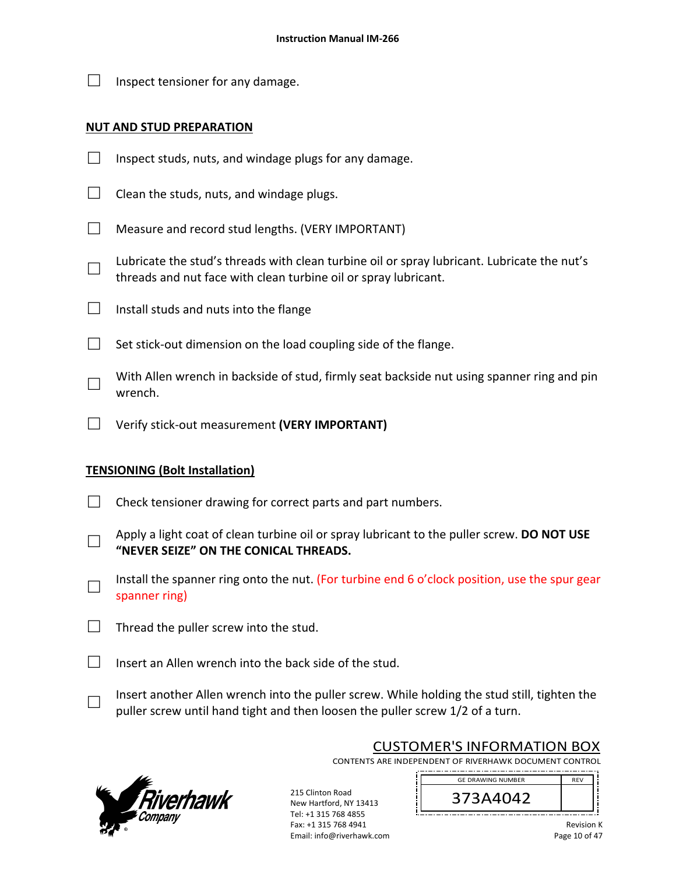$\Box$  Inspect tensioner for any damage.

#### **NUT AND STUD PREPARATION**

- $\Box$  Inspect studs, nuts, and windage plugs for any damage.
- $\Box$  Clean the studs, nuts, and windage plugs.
- $\Box$  Measure and record stud lengths. (VERY IMPORTANT)
- □ Lubricate the stud's threads with clean turbine oil or spray lubricant. Lubricate the nut's threads and nut face with clean turbine oil or spray lubricant.
- $\Box$  Install studs and nuts into the flange
- $\Box$  Set stick-out dimension on the load coupling side of the flange.
- □ With Allen wrench in backside of stud, firmly seat backside nut using spanner ring and pin wrench.
- □ Verify stick‐out measurement **(VERY IMPORTANT)**

### **TENSIONING (Bolt Installation)**

- $\Box$  Check tensioner drawing for correct parts and part numbers.
- □ Apply a light coat of clean turbine oil or spray lubricant to the puller screw. **DO NOT USE "NEVER SEIZE" ON THE CONICAL THREADS.**
- □ Install the spanner ring onto the nut. (For turbine end 6 o'clock position, use the spur gear spanner ring)
- $\Box$  Thread the puller screw into the stud.
- $\Box$  Insert an Allen wrench into the back side of the stud.
- □ Insert another Allen wrench into the puller screw. While holding the stud still, tighten the puller screw until hand tight and then loosen the puller screw 1/2 of a turn.



CUSTOMER'S INFORMATION BOX CONTENTS ARE INDEPENDENT OF RIVERHAWK DOCUMENT CONTROL

> GE DRAWING NUMBER 373A4042

Tel: +1 315 768 4855 Fax: +1 315 768 4941 Email: info@riverhawk.com

215 Clinton Road New Hartford, NY 13413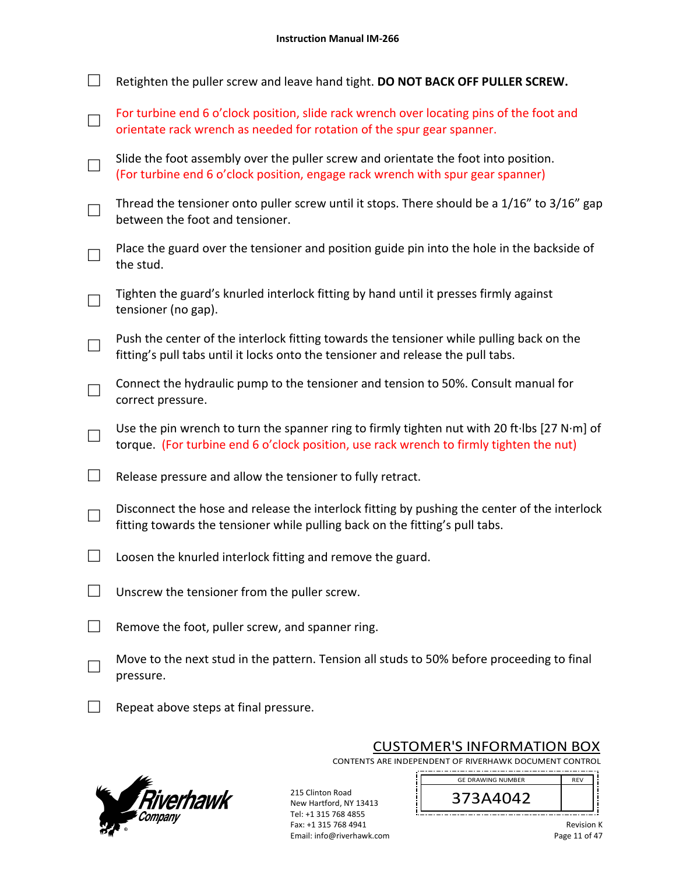| Retighten the puller screw and leave hand tight. DO NOT BACK OFF PULLER SCREW.                                                                                                          |
|-----------------------------------------------------------------------------------------------------------------------------------------------------------------------------------------|
| For turbine end 6 o'clock position, slide rack wrench over locating pins of the foot and<br>orientate rack wrench as needed for rotation of the spur gear spanner.                      |
| Slide the foot assembly over the puller screw and orientate the foot into position.<br>(For turbine end 6 o'clock position, engage rack wrench with spur gear spanner)                  |
| Thread the tensioner onto puller screw until it stops. There should be a 1/16" to 3/16" gap<br>between the foot and tensioner.                                                          |
| Place the guard over the tensioner and position guide pin into the hole in the backside of<br>the stud.                                                                                 |
| Tighten the guard's knurled interlock fitting by hand until it presses firmly against<br>tensioner (no gap).                                                                            |
| Push the center of the interlock fitting towards the tensioner while pulling back on the<br>fitting's pull tabs until it locks onto the tensioner and release the pull tabs.            |
| Connect the hydraulic pump to the tensioner and tension to 50%. Consult manual for<br>correct pressure.                                                                                 |
| Use the pin wrench to turn the spanner ring to firmly tighten nut with 20 ft·lbs [27 N·m] of<br>torque. (For turbine end 6 o'clock position, use rack wrench to firmly tighten the nut) |
| Release pressure and allow the tensioner to fully retract.                                                                                                                              |
| Disconnect the hose and release the interlock fitting by pushing the center of the interlock<br>fitting towards the tensioner while pulling back on the fitting's pull tabs.            |
| Loosen the knurled interlock fitting and remove the guard.                                                                                                                              |
| Unscrew the tensioner from the puller screw.                                                                                                                                            |
| Remove the foot, puller screw, and spanner ring.                                                                                                                                        |
| Move to the next stud in the pattern. Tension all studs to 50% before proceeding to final<br>pressure.                                                                                  |
| Repeat above steps at final pressure.                                                                                                                                                   |



CUSTOMER'S INFORMATION BOX

373A4042 GE DRAWING NUMBER

CONTENTS ARE INDEPENDENT OF RIVERHAWK DOCUMENT CONTROL 

j

215 Clinton Road New Hartford, NY 13413 Tel: +1 315 768 4855 Fax: +1 315 768 4941 Email: info@riverhawk.com

i j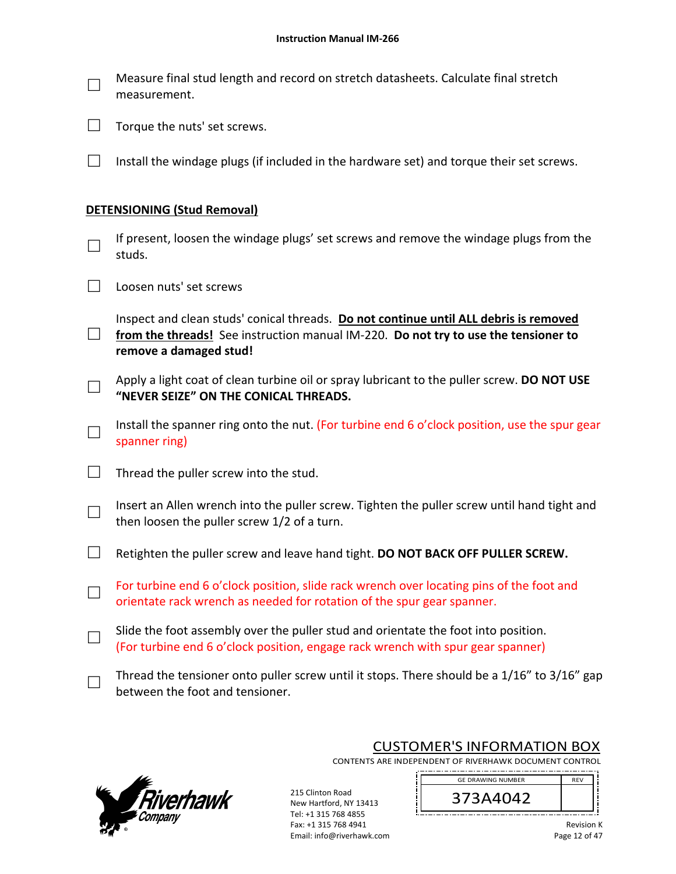| $\Box$ | Measure final stud length and record on stretch datasheets. Calculate final stretch |
|--------|-------------------------------------------------------------------------------------|
|        | measurement.                                                                        |

| $\mathcal{L}_{\mathcal{A}}$ |  | Torque the nuts' set screws. |
|-----------------------------|--|------------------------------|
|                             |  |                              |

 $\Box$  Install the windage plugs (if included in the hardware set) and torque their set screws.

#### **DETENSIONING (Stud Removal)**

- □ If present, loosen the windage plugs' set screws and remove the windage plugs from the studs.
- □ Loosen nuts' set screws
- □ Inspect and clean studs' conical threads. **Do not continue until ALL debris is removed from the threads!** See instruction manual IM‐220. **Do not try to use the tensioner to remove a damaged stud!**
- □ Apply a light coat of clean turbine oil or spray lubricant to the puller screw. **DO NOT USE "NEVER SEIZE" ON THE CONICAL THREADS.**
- □ Install the spanner ring onto the nut. (For turbine end 6 o'clock position, use the spur gear spanner ring)
- $\Box$  Thread the puller screw into the stud.
- □ Insert an Allen wrench into the puller screw. Tighten the puller screw until hand tight and then loosen the puller screw 1/2 of a turn.
- □ Retighten the puller screw and leave hand tight. **DO NOT BACK OFF PULLER SCREW.**
- □ For turbine end 6 o'clock position, slide rack wrench over locating pins of the foot and orientate rack wrench as needed for rotation of the spur gear spanner.
- □ Slide the foot assembly over the puller stud and orientate the foot into position. (For turbine end 6 o'clock position, engage rack wrench with spur gear spanner)
- □ Thread the tensioner onto puller screw until it stops. There should be a 1/16" to 3/16" gap between the foot and tensioner.



# CUSTOMER'S INFORMATION BOX

CONTENTS ARE INDEPENDENT OF RIVERHAWK DOCUMENT CONTROL 

215 Clinton Road New Hartford, NY 13413 Tel: +1 315 768 4855 Fax: +1 315 768 4941 Email: info@riverhawk.com

GE DRAWING NUMBER REV 373A4042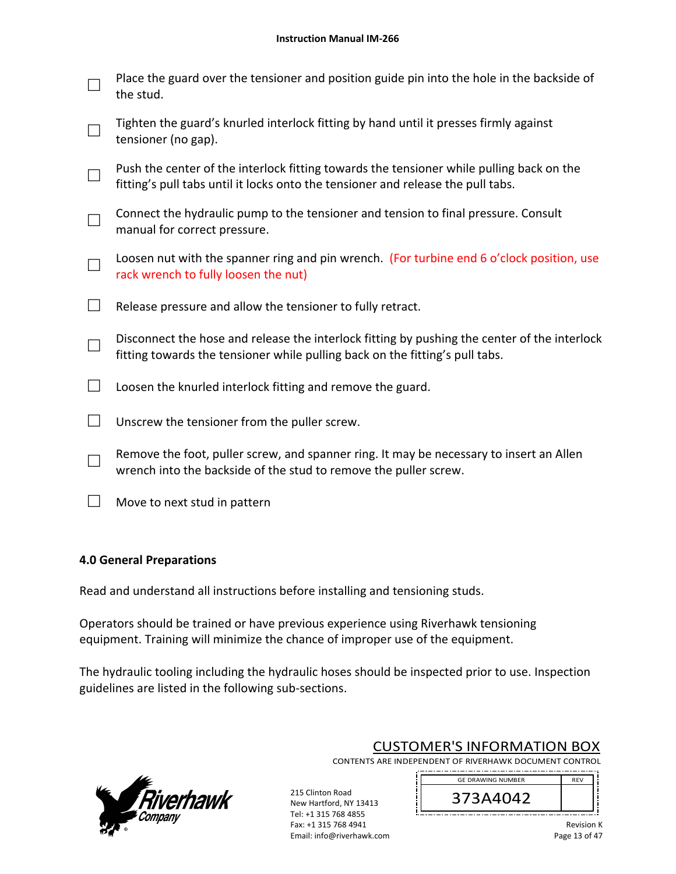| Place the guard over the tensioner and position guide pin into the hole in the backside of<br>the stud.                                                                      |
|------------------------------------------------------------------------------------------------------------------------------------------------------------------------------|
| Tighten the guard's knurled interlock fitting by hand until it presses firmly against<br>tensioner (no gap).                                                                 |
| Push the center of the interlock fitting towards the tensioner while pulling back on the<br>fitting's pull tabs until it locks onto the tensioner and release the pull tabs. |
| Connect the hydraulic pump to the tensioner and tension to final pressure. Consult<br>manual for correct pressure.                                                           |
| Loosen nut with the spanner ring and pin wrench. (For turbine end 6 o'clock position, use<br>rack wrench to fully loosen the nut)                                            |
| Release pressure and allow the tensioner to fully retract.                                                                                                                   |
| Disconnect the hose and release the interlock fitting by pushing the center of the interlock<br>fitting towards the tensioner while pulling back on the fitting's pull tabs. |
| Loosen the knurled interlock fitting and remove the guard.                                                                                                                   |
| Unscrew the tensioner from the puller screw.                                                                                                                                 |
| Remove the foot, puller screw, and spanner ring. It may be necessary to insert an Allen<br>wrench into the backside of the stud to remove the puller screw.                  |
| Move to next stud in pattern                                                                                                                                                 |

### **4.0 General Preparations**

Read and understand all instructions before installing and tensioning studs.

Operators should be trained or have previous experience using Riverhawk tensioning equipment. Training will minimize the chance of improper use of the equipment.

The hydraulic tooling including the hydraulic hoses should be inspected prior to use. Inspection guidelines are listed in the following sub‐sections.



CUSTOMER'S INFORMATION BOX

CONTENTS ARE INDEPENDENT OF RIVERHAWK DOCUMENT CONTROL 

215 Clinton Road New Hartford, NY 13413 Tel: +1 315 768 4855 Fax: +1 315 768 4941 Email: info@riverhawk.com

GE DRAWING NUMBER REV 373A4042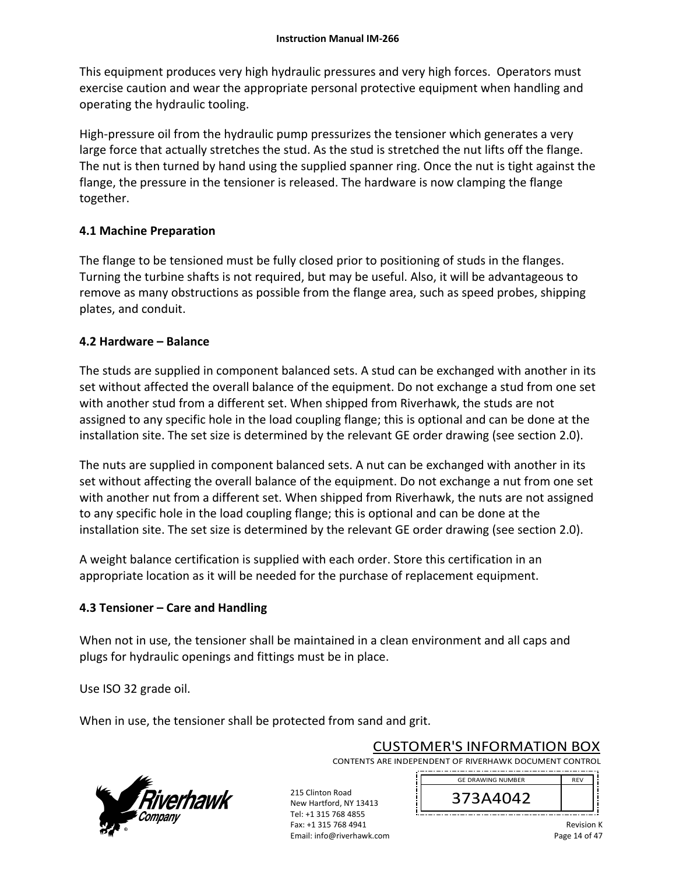This equipment produces very high hydraulic pressures and very high forces. Operators must exercise caution and wear the appropriate personal protective equipment when handling and operating the hydraulic tooling.

High-pressure oil from the hydraulic pump pressurizes the tensioner which generates a very large force that actually stretches the stud. As the stud is stretched the nut lifts off the flange. The nut is then turned by hand using the supplied spanner ring. Once the nut is tight against the flange, the pressure in the tensioner is released. The hardware is now clamping the flange together.

# **4.1 Machine Preparation**

The flange to be tensioned must be fully closed prior to positioning of studs in the flanges. Turning the turbine shafts is not required, but may be useful. Also, it will be advantageous to remove as many obstructions as possible from the flange area, such as speed probes, shipping plates, and conduit.

# **4.2 Hardware – Balance**

The studs are supplied in component balanced sets. A stud can be exchanged with another in its set without affected the overall balance of the equipment. Do not exchange a stud from one set with another stud from a different set. When shipped from Riverhawk, the studs are not assigned to any specific hole in the load coupling flange; this is optional and can be done at the installation site. The set size is determined by the relevant GE order drawing (see section 2.0).

The nuts are supplied in component balanced sets. A nut can be exchanged with another in its set without affecting the overall balance of the equipment. Do not exchange a nut from one set with another nut from a different set. When shipped from Riverhawk, the nuts are not assigned to any specific hole in the load coupling flange; this is optional and can be done at the installation site. The set size is determined by the relevant GE order drawing (see section 2.0).

A weight balance certification is supplied with each order. Store this certification in an appropriate location as it will be needed for the purchase of replacement equipment.

# **4.3 Tensioner – Care and Handling**

When not in use, the tensioner shall be maintained in a clean environment and all caps and plugs for hydraulic openings and fittings must be in place.

Use ISO 32 grade oil.

When in use, the tensioner shall be protected from sand and grit.



CUSTOMER'S INFORMATION BOX CONTENTS ARE INDEPENDENT OF RIVERHAWK DOCUMENT CONTROL

> 373A4042 GE DRAWING NUMBER

\_\_\_\_\_\_\_\_\_\_\_\_\_\_\_\_\_\_\_\_\_\_\_\_\_\_\_\_\_\_\_\_\_

215 Clinton Road New Hartford, NY 13413 Tel: +1 315 768 4855 Fax: +1 315 768 4941 Email: info@riverhawk.com

Revision K Page 14 of 47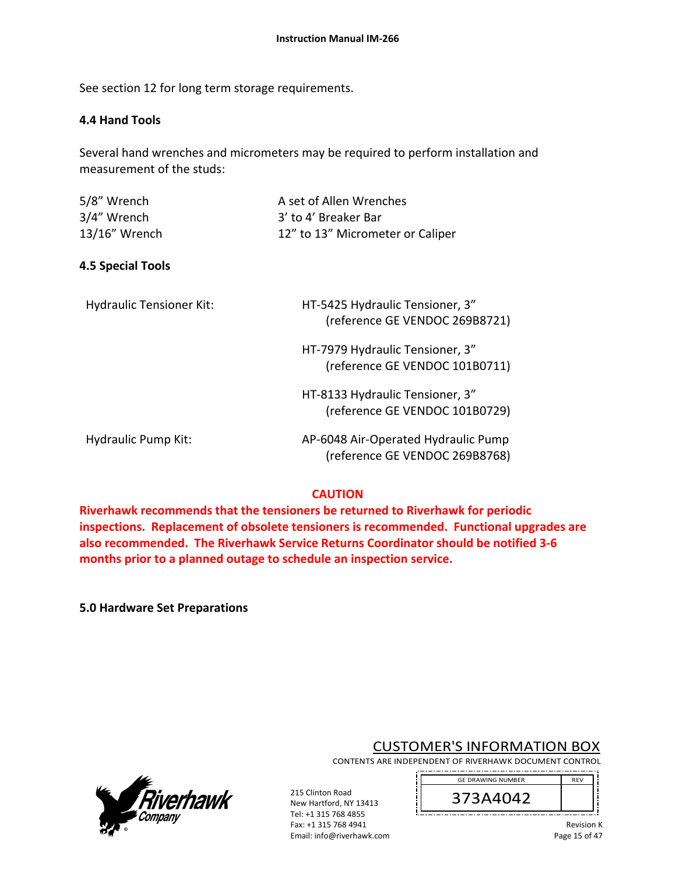See section 12 for long term storage requirements.

### **4.4 Hand Tools**

Several hand wrenches and micrometers may be required to perform installation and measurement of the studs:

| 5/8" Wrench   | A set of Allen Wrenches          |
|---------------|----------------------------------|
| 3/4" Wrench   | 3' to 4' Breaker Bar             |
| 13/16" Wrench | 12" to 13" Micrometer or Caliper |

### **4.5 Special Tools**

| Hydraulic Tensioner Kit: | HT-5425 Hydraulic Tensioner, 3" |
|--------------------------|---------------------------------|
|                          | (reference GE VENDOC 269B8721)  |

 HT‐7979 Hydraulic Tensioner, 3" (reference GE VENDOC 101B0711)

 HT‐8133 Hydraulic Tensioner, 3" (reference GE VENDOC 101B0729)

Hydraulic Pump Kit: AP‐6048 Air‐Operated Hydraulic Pump

(reference GE VENDOC 269B8768)

### **CAUTION**

**Riverhawk recommends that the tensioners be returned to Riverhawk for periodic inspections. Replacement of obsolete tensioners is recommended. Functional upgrades are also recommended. The Riverhawk Service Returns Coordinator should be notified 3‐6 months prior to a planned outage to schedule an inspection service.** 

> 215 Clinton Road New Hartford, NY 13413 Tel: +1 315 768 4855 Fax: +1 315 768 4941 Email: info@riverhawk.com

**5.0 Hardware Set Preparations**



# CUSTOMER'S INFORMATION BOX

CONTENTS ARE INDEPENDENT OF RIVERHAWK DOCUMENT CONTROL 

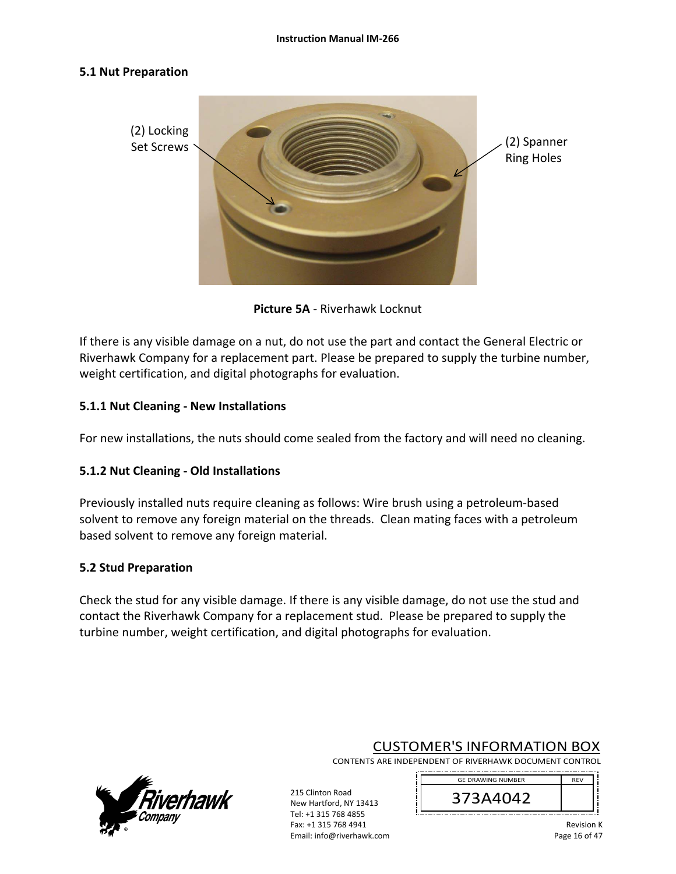#### **5.1 Nut Preparation**



**Picture 5A** ‐ Riverhawk Locknut

If there is any visible damage on a nut, do not use the part and contact the General Electric or Riverhawk Company for a replacement part. Please be prepared to supply the turbine number, weight certification, and digital photographs for evaluation.

# **5.1.1 Nut Cleaning ‐ New Installations**

For new installations, the nuts should come sealed from the factory and will need no cleaning.

### **5.1.2 Nut Cleaning ‐ Old Installations**

Previously installed nuts require cleaning as follows: Wire brush using a petroleum‐based solvent to remove any foreign material on the threads. Clean mating faces with a petroleum based solvent to remove any foreign material.

### **5.2 Stud Preparation**

Check the stud for any visible damage. If there is any visible damage, do not use the stud and contact the Riverhawk Company for a replacement stud. Please be prepared to supply the turbine number, weight certification, and digital photographs for evaluation.



CUSTOMER'S INFORMATION BOX

CONTENTS ARE INDEPENDENT OF RIVERHAWK DOCUMENT CONTROL 

> REV 373A4042 GE DRAWING NUMBER

> > Revision K Page 16 of 47

215 Clinton Road New Hartford, NY 13413 Tel: +1 315 768 4855 Fax: +1 315 768 4941 Email: info@riverhawk.com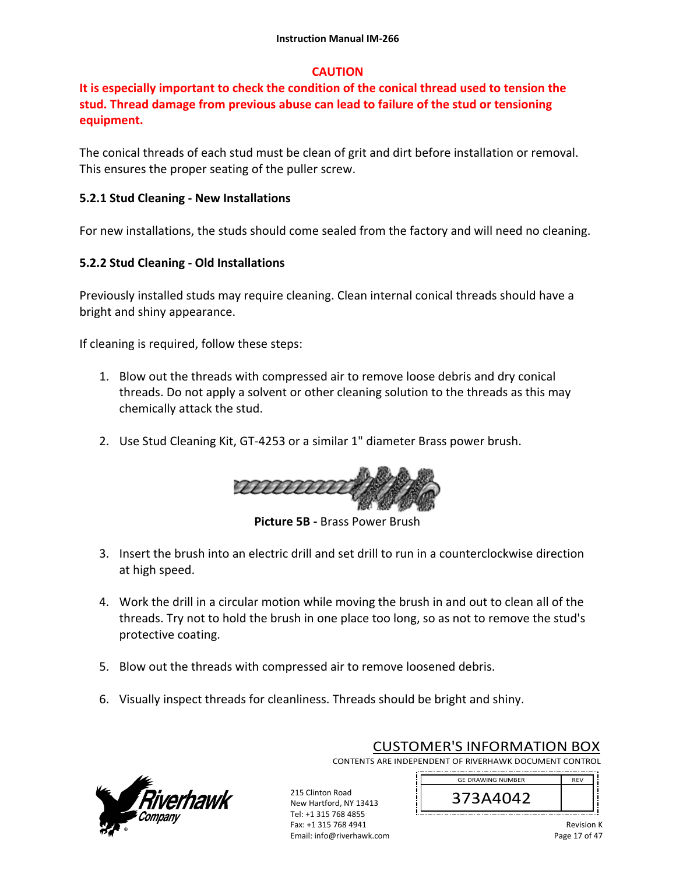# **CAUTION**

# **It is especially important to check the condition of the conical thread used to tension the stud. Thread damage from previous abuse can lead to failure of the stud or tensioning equipment.**

The conical threads of each stud must be clean of grit and dirt before installation or removal. This ensures the proper seating of the puller screw.

# **5.2.1 Stud Cleaning ‐ New Installations**

For new installations, the studs should come sealed from the factory and will need no cleaning.

# **5.2.2 Stud Cleaning ‐ Old Installations**

Previously installed studs may require cleaning. Clean internal conical threads should have a bright and shiny appearance.

If cleaning is required, follow these steps:

- 1. Blow out the threads with compressed air to remove loose debris and dry conical threads. Do not apply a solvent or other cleaning solution to the threads as this may chemically attack the stud.
- 2. Use Stud Cleaning Kit, GT‐4253 or a similar 1" diameter Brass power brush.



**Picture 5B ‐** Brass Power Brush

- 3. Insert the brush into an electric drill and set drill to run in a counterclockwise direction at high speed.
- 4. Work the drill in a circular motion while moving the brush in and out to clean all of the threads. Try not to hold the brush in one place too long, so as not to remove the stud's protective coating.
- 5. Blow out the threads with compressed air to remove loosened debris.
- 6. Visually inspect threads for cleanliness. Threads should be bright and shiny.



CUSTOMER'S INFORMATION BOX CONTENTS ARE INDEPENDENT OF RIVERHAWK DOCUMENT CONTROL

373A4042 GE DRAWING NUMBER

215 Clinton Road New Hartford, NY 13413 Tel: +1 315 768 4855 Fax: +1 315 768 4941 Email: info@riverhawk.com

Revision K Page 17 of 47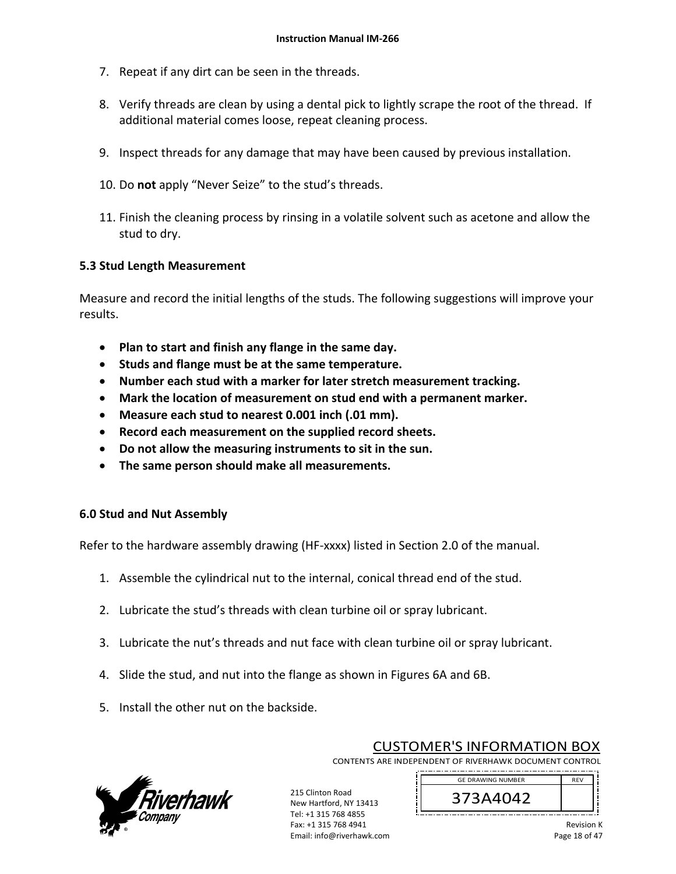- 7. Repeat if any dirt can be seen in the threads.
- 8. Verify threads are clean by using a dental pick to lightly scrape the root of the thread. If additional material comes loose, repeat cleaning process.
- 9. Inspect threads for any damage that may have been caused by previous installation.
- 10. Do **not** apply "Never Seize" to the stud's threads.
- 11. Finish the cleaning process by rinsing in a volatile solvent such as acetone and allow the stud to dry.

### **5.3 Stud Length Measurement**

Measure and record the initial lengths of the studs. The following suggestions will improve your results.

- **Plan to start and finish any flange in the same day.**
- **•** Studs and flange must be at the same temperature.
- **Number each stud with a marker for later stretch measurement tracking.**
- **Mark the location of measurement on stud end with a permanent marker.**
- **Measure each stud to nearest 0.001 inch (.01 mm).**
- **Record each measurement on the supplied record sheets.**
- **Do not allow the measuring instruments to sit in the sun.**
- **The same person should make all measurements.**

### **6.0 Stud and Nut Assembly**

Refer to the hardware assembly drawing (HF‐xxxx) listed in Section 2.0 of the manual.

- 1. Assemble the cylindrical nut to the internal, conical thread end of the stud.
- 2. Lubricate the stud's threads with clean turbine oil or spray lubricant.
- 3. Lubricate the nut's threads and nut face with clean turbine oil or spray lubricant.
- 4. Slide the stud, and nut into the flange as shown in Figures 6A and 6B.
- 5. Install the other nut on the backside.



CUSTOMER'S INFORMATION BOX

GE DRAWING NUMBER

CONTENTS ARE INDEPENDENT OF RIVERHAWK DOCUMENT CONTROL 

215 Clinton Road New Hartford, NY 13413 Tel: +1 315 768 4855 Fax: +1 315 768 4941 Email: info@riverhawk.com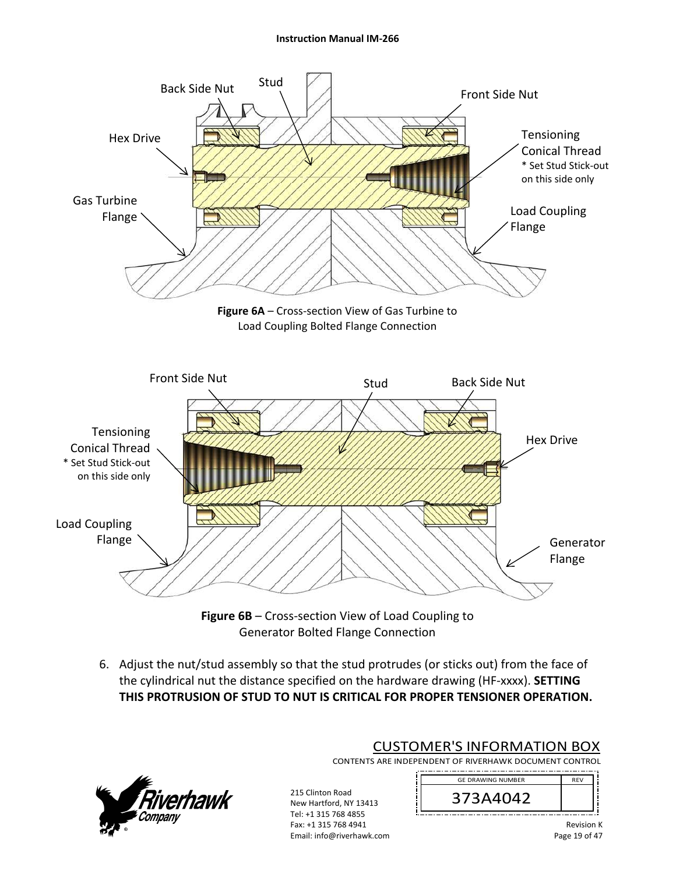#### **Instruction Manual IM‐266**



6. Adjust the nut/stud assembly so that the stud protrudes (or sticks out) from the face of the cylindrical nut the distance specified on the hardware drawing (HF‐xxxx). **SETTING THIS PROTRUSION OF STUD TO NUT IS CRITICAL FOR PROPER TENSIONER OPERATION.**



CUSTOMER'S INFORMATION BOX CONTENTS ARE INDEPENDENT OF RIVERHAWK DOCUMENT CONTROL 

GE DRAWING NUMBER

215 Clinton Road New Hartford, NY 13413 Tel: +1 315 768 4855 Fax: +1 315 768 4941 Email: info@riverhawk.com 373A4042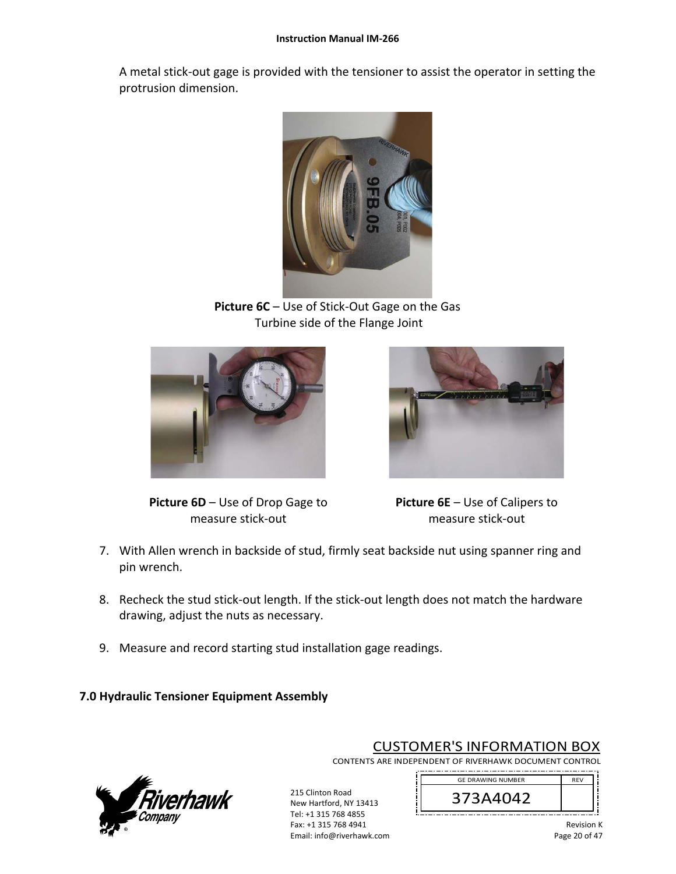A metal stick‐out gage is provided with the tensioner to assist the operator in setting the protrusion dimension.



**Picture 6C** – Use of Stick‐Out Gage on the Gas Turbine side of the Flange Joint



**Picture 6D** – Use of Drop Gage to measure stick‐out

**Picture 6E** – Use of Calipers to measure stick‐out

- 7. With Allen wrench in backside of stud, firmly seat backside nut using spanner ring and pin wrench.
- 8. Recheck the stud stick‐out length. If the stick‐out length does not match the hardware drawing, adjust the nuts as necessary.

215 Clinton Road New Hartford, NY 13413 Tel: +1 315 768 4855 Fax: +1 315 768 4941 Email: info@riverhawk.com

9. Measure and record starting stud installation gage readings.

# **7.0 Hydraulic Tensioner Equipment Assembly**



CUSTOMER'S INFORMATION BOX

CONTENTS ARE INDEPENDENT OF RIVERHAWK DOCUMENT CONTROL 

> GE DRAWING NUMBER REV 373A4042 ----------------------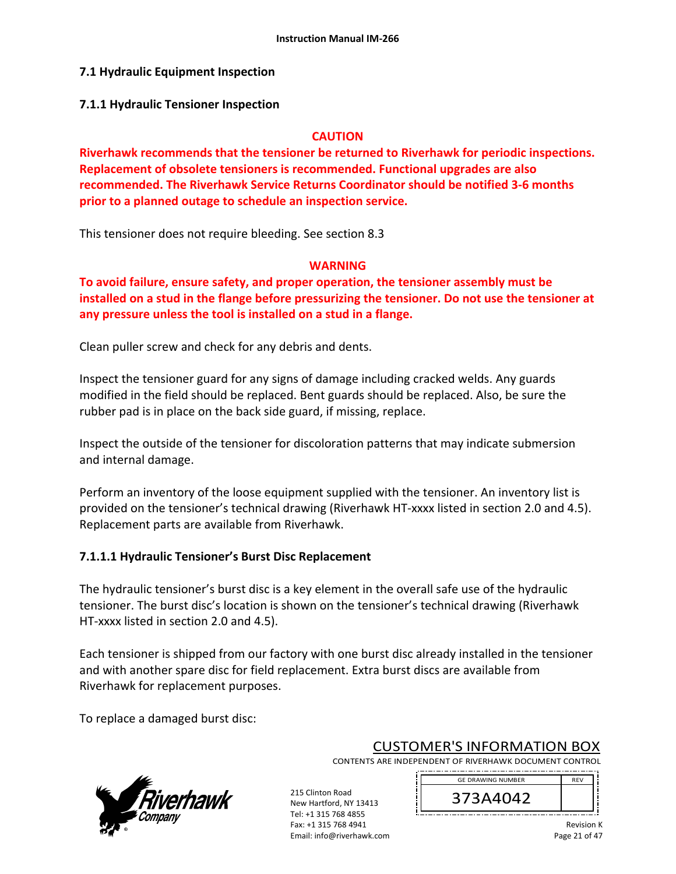## **7.1 Hydraulic Equipment Inspection**

#### **7.1.1 Hydraulic Tensioner Inspection**

#### **CAUTION**

**Riverhawk recommends that the tensioner be returned to Riverhawk for periodic inspections. Replacement of obsolete tensioners is recommended. Functional upgrades are also recommended. The Riverhawk Service Returns Coordinator should be notified 3‐6 months prior to a planned outage to schedule an inspection service.** 

This tensioner does not require bleeding. See section 8.3

#### **WARNING**

**To avoid failure, ensure safety, and proper operation, the tensioner assembly must be installed on a stud in the flange before pressurizing the tensioner. Do not use the tensioner at any pressure unless the tool is installed on a stud in a flange.** 

Clean puller screw and check for any debris and dents.

Inspect the tensioner guard for any signs of damage including cracked welds. Any guards modified in the field should be replaced. Bent guards should be replaced. Also, be sure the rubber pad is in place on the back side guard, if missing, replace.

Inspect the outside of the tensioner for discoloration patterns that may indicate submersion and internal damage.

Perform an inventory of the loose equipment supplied with the tensioner. An inventory list is provided on the tensioner's technical drawing (Riverhawk HT‐xxxx listed in section 2.0 and 4.5). Replacement parts are available from Riverhawk.

### **7.1.1.1 Hydraulic Tensioner's Burst Disc Replacement**

The hydraulic tensioner's burst disc is a key element in the overall safe use of the hydraulic tensioner. The burst disc's location is shown on the tensioner's technical drawing (Riverhawk HT-xxxx listed in section 2.0 and 4.5).

Each tensioner is shipped from our factory with one burst disc already installed in the tensioner and with another spare disc for field replacement. Extra burst discs are available from Riverhawk for replacement purposes.

To replace a damaged burst disc:



CUSTOMER'S INFORMATION BOX

GE DRAWING NUMBER

CONTENTS ARE INDEPENDENT OF RIVERHAWK DOCUMENT CONTROL 

215 Clinton Road New Hartford, NY 13413 Tel: +1 315 768 4855 Fax: +1 315 768 4941 Email: info@riverhawk.com

373A4042 \_\_\_\_\_\_\_\_\_\_\_\_\_\_\_\_\_\_\_\_\_\_\_\_\_\_\_\_\_\_\_\_\_\_\_ Revision K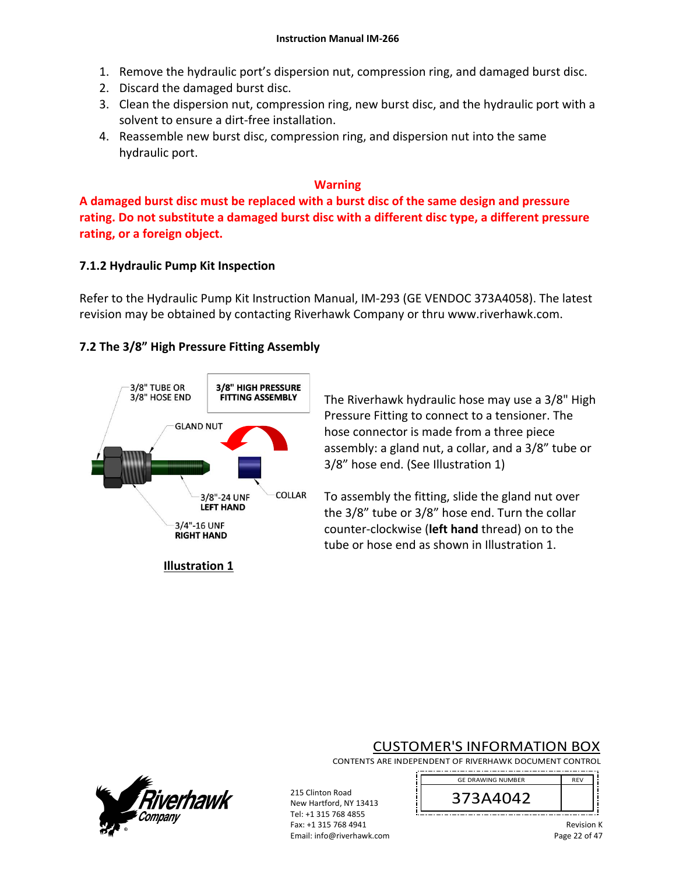- 1. Remove the hydraulic port's dispersion nut, compression ring, and damaged burst disc.
- 2. Discard the damaged burst disc.
- 3. Clean the dispersion nut, compression ring, new burst disc, and the hydraulic port with a solvent to ensure a dirt‐free installation.
- 4. Reassemble new burst disc, compression ring, and dispersion nut into the same hydraulic port.

#### **Warning**

**A damaged burst disc must be replaced with a burst disc of the same design and pressure rating. Do not substitute a damaged burst disc with a different disc type, a different pressure rating, or a foreign object.**

### **7.1.2 Hydraulic Pump Kit Inspection**

Refer to the Hydraulic Pump Kit Instruction Manual, IM‐293 (GE VENDOC 373A4058). The latest revision may be obtained by contacting Riverhawk Company or thru www.riverhawk.com.

# **7.2 The 3/8" High Pressure Fitting Assembly**



The Riverhawk hydraulic hose may use a 3/8" High Pressure Fitting to connect to a tensioner. The hose connector is made from a three piece assembly: a gland nut, a collar, and a 3/8" tube or 3/8" hose end. (See Illustration 1)

To assembly the fitting, slide the gland nut over the 3/8" tube or 3/8" hose end. Turn the collar counter‐clockwise (**left hand** thread) on to the tube or hose end as shown in Illustration 1.

**Illustration 1** 

# CUSTOMER'S INFORMATION BOX

CONTENTS ARE INDEPENDENT OF RIVERHAWK DOCUMENT CONTROL 



215 Clinton Road New Hartford, NY 13413 Tel: +1 315 768 4855

Fax: +1 315 768 4941 Email: info@riverhawk.com

Revision K Page 22 of 47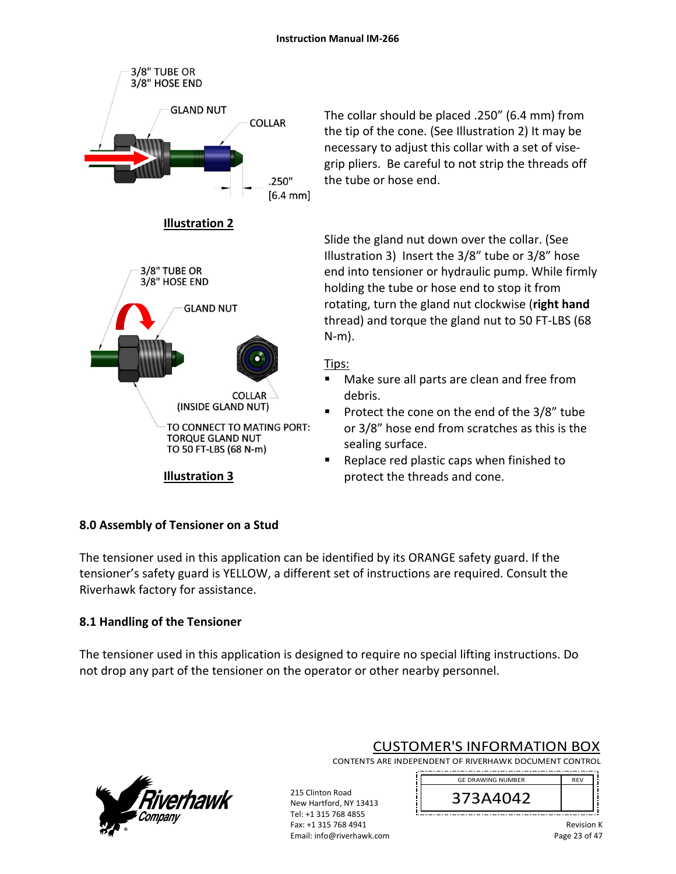

The collar should be placed .250" (6.4 mm) from the tip of the cone. (See Illustration 2) It may be necessary to adjust this collar with a set of vise‐ grip pliers. Be careful to not strip the threads off the tube or hose end.

Slide the gland nut down over the collar. (See Illustration 3) Insert the 3/8" tube or 3/8" hose end into tensioner or hydraulic pump. While firmly holding the tube or hose end to stop it from rotating, turn the gland nut clockwise (**right hand** thread) and torque the gland nut to 50 FT‐LBS (68 N‐m).

# Tips:

- Make sure all parts are clean and free from debris.
- Protect the cone on the end of the 3/8" tube or 3/8" hose end from scratches as this is the sealing surface.
- Replace red plastic caps when finished to protect the threads and cone.

# **8.0 Assembly of Tensioner on a Stud**

The tensioner used in this application can be identified by its ORANGE safety guard. If the tensioner's safety guard is YELLOW, a different set of instructions are required. Consult the Riverhawk factory for assistance.

# **8.1 Handling of the Tensioner**

The tensioner used in this application is designed to require no special lifting instructions. Do not drop any part of the tensioner on the operator or other nearby personnel.

> 215 Clinton Road New Hartford, NY 13413 Tel: +1 315 768 4855 Fax: +1 315 768 4941 Email: info@riverhawk.com



CUSTOMER'S INFORMATION BOX

CONTENTS ARE INDEPENDENT OF RIVERHAWK DOCUMENT CONTROL 

> REV 373A4042 GE DRAWING NUMBER

> > Revision K Page 23 of 47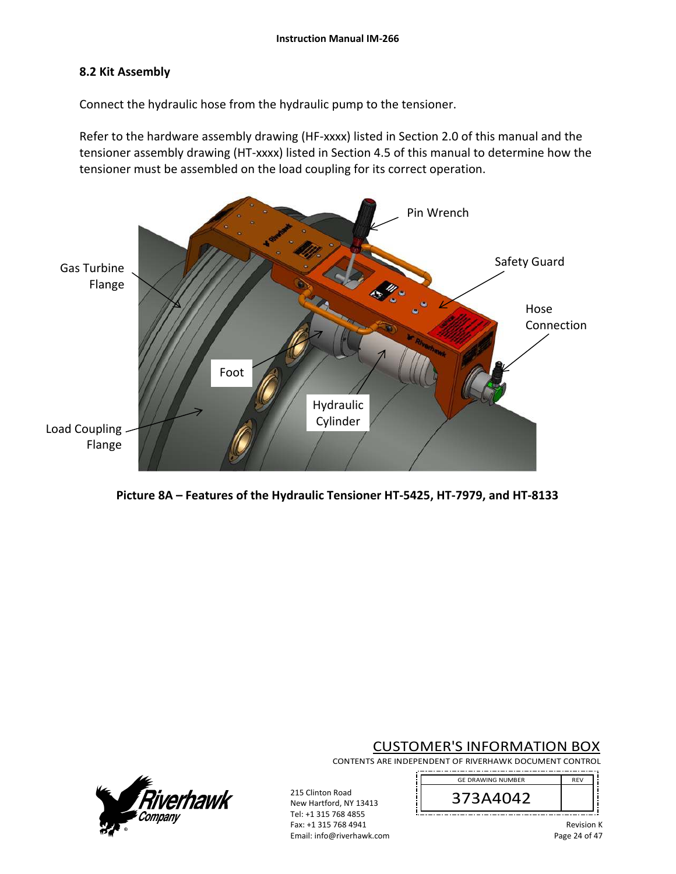# **8.2 Kit Assembly**

Connect the hydraulic hose from the hydraulic pump to the tensioner.

Refer to the hardware assembly drawing (HF-xxxx) listed in Section 2.0 of this manual and the tensioner assembly drawing (HT‐xxxx) listed in Section 4.5 of this manual to determine how the tensioner must be assembled on the load coupling for its correct operation.





# CUSTOMER'S INFORMATION BOX

CONTENTS ARE INDEPENDENT OF RIVERHAWK DOCUMENT CONTROL





215 Clinton Road New Hartford, NY 13413 Tel: +1 315 768 4855 Fax: +1 315 768 4941 Email: info@riverhawk.com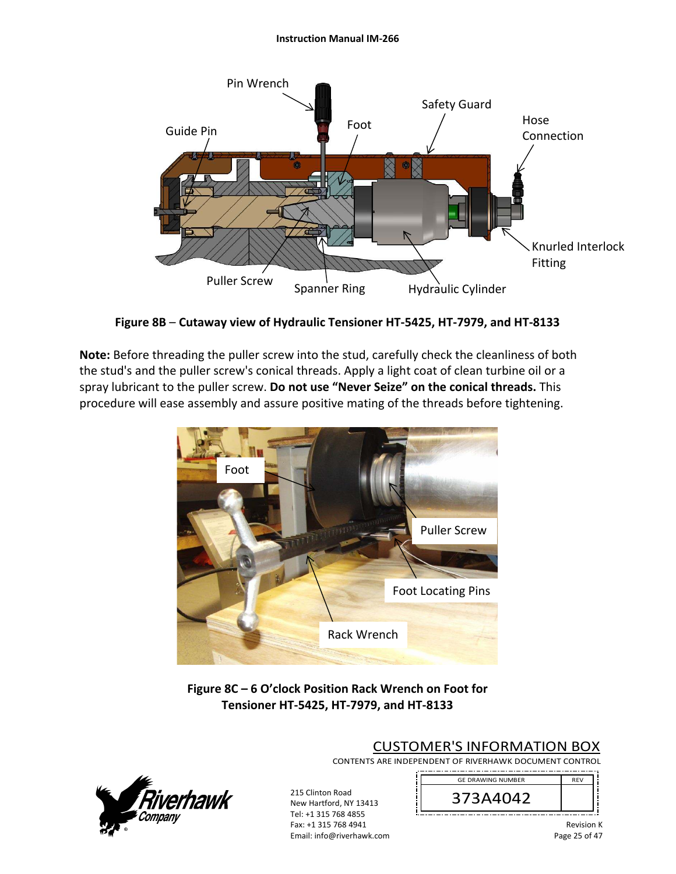#### **Instruction Manual IM‐266**



**Figure 8B** – **Cutaway view of Hydraulic Tensioner HT‐5425, HT‐7979, and HT‐8133** 

**Note:** Before threading the puller screw into the stud, carefully check the cleanliness of both the stud's and the puller screw's conical threads. Apply a light coat of clean turbine oil or a spray lubricant to the puller screw. **Do not use "Never Seize" on the conical threads.** This procedure will ease assembly and assure positive mating of the threads before tightening.



**Figure 8C – 6 O'clock Position Rack Wrench on Foot for Tensioner HT‐5425, HT‐7979, and HT‐8133**



CUSTOMER'S INFORMATION BOX

CONTENTS ARE INDEPENDENT OF RIVERHAWK DOCUMENT CONTROL 

> REV 373A4042 GE DRAWING NUMBER

New Hartford, NY 13413 Tel: +1 315 768 4855 Fax: +1 315 768 4941 Email: info@riverhawk.com

215 Clinton Road

Revision K Page 25 of 47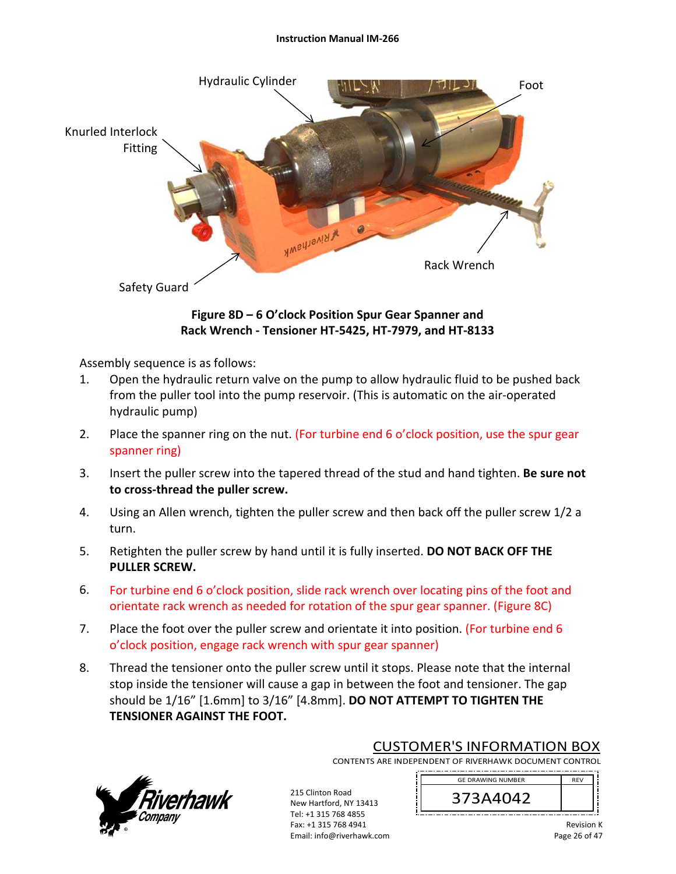#### **Instruction Manual IM‐266**



# **Figure 8D – 6 O'clock Position Spur Gear Spanner and Rack Wrench ‐ Tensioner HT‐5425, HT‐7979, and HT‐8133**

Assembly sequence is as follows:

- 1. Open the hydraulic return valve on the pump to allow hydraulic fluid to be pushed back from the puller tool into the pump reservoir. (This is automatic on the air‐operated hydraulic pump)
- 2. Place the spanner ring on the nut. (For turbine end 6 o'clock position, use the spur gear spanner ring)
- 3. Insert the puller screw into the tapered thread of the stud and hand tighten. **Be sure not to cross‐thread the puller screw.**
- 4. Using an Allen wrench, tighten the puller screw and then back off the puller screw 1/2 a turn.
- 5. Retighten the puller screw by hand until it is fully inserted. **DO NOT BACK OFF THE PULLER SCREW.**
- 6. For turbine end 6 o'clock position, slide rack wrench over locating pins of the foot and orientate rack wrench as needed for rotation of the spur gear spanner. (Figure 8C)
- 7. Place the foot over the puller screw and orientate it into position. (For turbine end 6 o'clock position, engage rack wrench with spur gear spanner)
- 8. Thread the tensioner onto the puller screw until it stops. Please note that the internal stop inside the tensioner will cause a gap in between the foot and tensioner. The gap should be 1/16" [1.6mm] to 3/16" [4.8mm]. **DO NOT ATTEMPT TO TIGHTEN THE TENSIONER AGAINST THE FOOT.**



CUSTOMER'S INFORMATION BOX

CONTENTS ARE INDEPENDENT OF RIVERHAWK DOCUMENT CONTROL 

215 Clinton Road New Hartford, NY 13413 Tel: +1 315 768 4855 Fax: +1 315 768 4941 Email: info@riverhawk.com

REV 373A4042 GE DRAWING NUMBER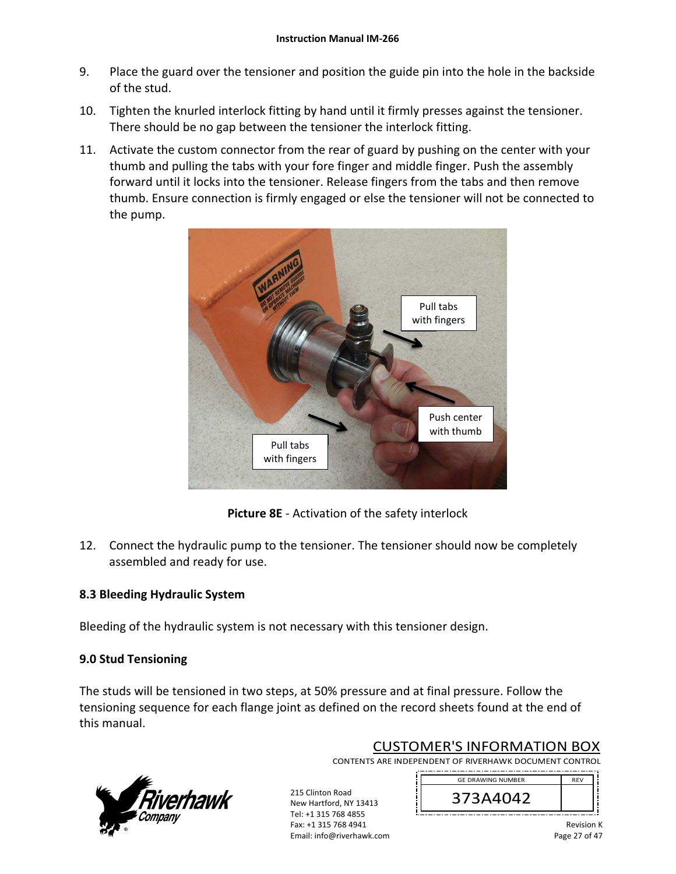- 9. Place the guard over the tensioner and position the guide pin into the hole in the backside of the stud.
- 10. Tighten the knurled interlock fitting by hand until it firmly presses against the tensioner. There should be no gap between the tensioner the interlock fitting.
- 11. Activate the custom connector from the rear of guard by pushing on the center with your thumb and pulling the tabs with your fore finger and middle finger. Push the assembly forward until it locks into the tensioner. Release fingers from the tabs and then remove thumb. Ensure connection is firmly engaged or else the tensioner will not be connected to the pump.



**Picture 8E** ‐ Activation of the safety interlock

12. Connect the hydraulic pump to the tensioner. The tensioner should now be completely assembled and ready for use.

# **8.3 Bleeding Hydraulic System**

Bleeding of the hydraulic system is not necessary with this tensioner design.

# **9.0 Stud Tensioning**

The studs will be tensioned in two steps, at 50% pressure and at final pressure. Follow the tensioning sequence for each flange joint as defined on the record sheets found at the end of this manual.

> 215 Clinton Road New Hartford, NY 13413 Tel: +1 315 768 4855 Fax: +1 315 768 4941 Email: info@riverhawk.com



CUSTOMER'S INFORMATION BOX

CONTENTS ARE INDEPENDENT OF RIVERHAWK DOCUMENT CONTROL 

> REV 373A4042 GE DRAWING NUMBER

> > Revision K Page 27 of 47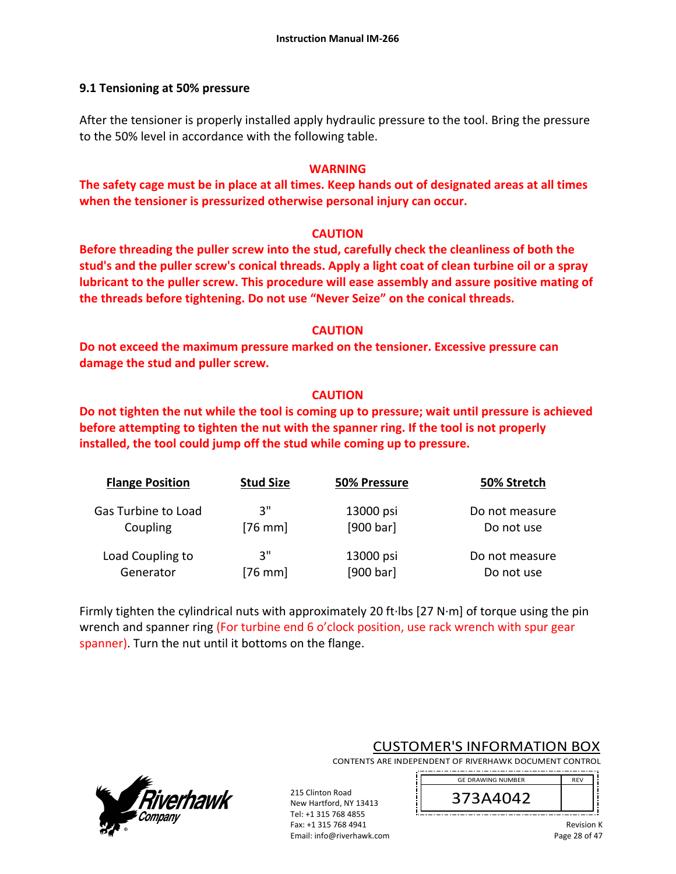## **9.1 Tensioning at 50% pressure**

After the tensioner is properly installed apply hydraulic pressure to the tool. Bring the pressure to the 50% level in accordance with the following table.

#### **WARNING**

**The safety cage must be in place at all times. Keep hands out of designated areas at all times when the tensioner is pressurized otherwise personal injury can occur.** 

#### **CAUTION**

**Before threading the puller screw into the stud, carefully check the cleanliness of both the stud's and the puller screw's conical threads. Apply a light coat of clean turbine oil or a spray lubricant to the puller screw. This procedure will ease assembly and assure positive mating of the threads before tightening. Do not use "Never Seize" on the conical threads.** 

### **CAUTION**

**Do not exceed the maximum pressure marked on the tensioner. Excessive pressure can damage the stud and puller screw.** 

# **CAUTION**

**Do not tighten the nut while the tool is coming up to pressure; wait until pressure is achieved before attempting to tighten the nut with the spanner ring. If the tool is not properly installed, the tool could jump off the stud while coming up to pressure.** 

| <b>Flange Position</b> | <b>Stud Size</b>  | 50% Pressure | 50% Stretch    |
|------------------------|-------------------|--------------|----------------|
| Gas Turbine to Load    | 3"                | 13000 psi    | Do not measure |
| Coupling               | $[76 \text{ mm}]$ | [900 bar]    | Do not use     |
| Load Coupling to       | 3"                | 13000 psi    | Do not measure |
| Generator              | $[76 \text{ mm}]$ | [900 bar]    | Do not use     |

Firmly tighten the cylindrical nuts with approximately 20 ft∙lbs [27 N∙m] of torque using the pin wrench and spanner ring (For turbine end 6 o'clock position, use rack wrench with spur gear spanner). Turn the nut until it bottoms on the flange.



CUSTOMER'S INFORMATION BOX

CONTENTS ARE INDEPENDENT OF RIVERHAWK DOCUMENT CONTROL 

> GE DRAWING NUMBER REV 373A4042

> > Revision K Page 28 of 47

215 Clinton Road New Hartford, NY 13413 Tel: +1 315 768 4855 Fax: +1 315 768 4941 Email: info@riverhawk.com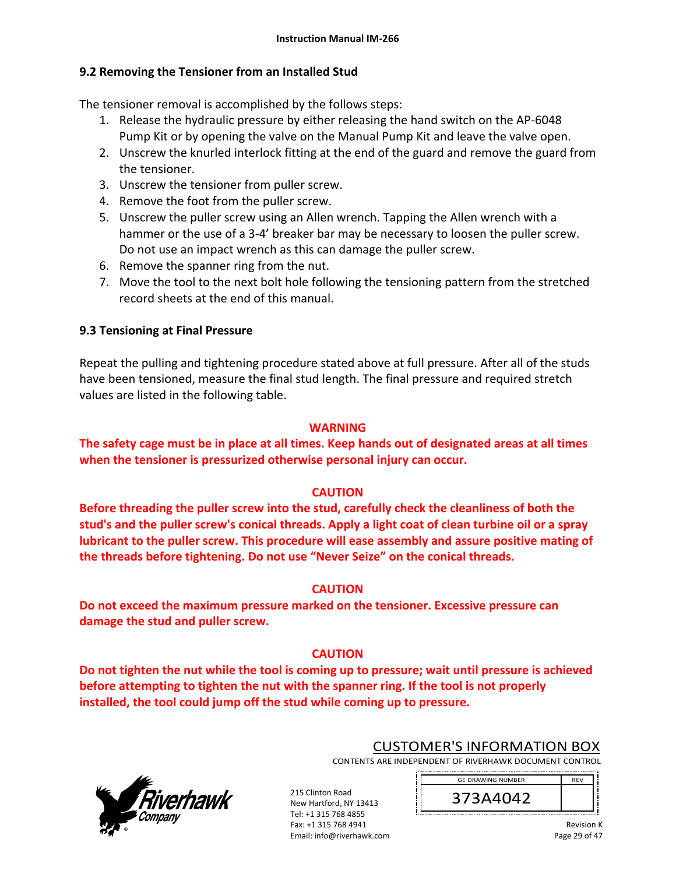# **9.2 Removing the Tensioner from an Installed Stud**

The tensioner removal is accomplished by the follows steps:

- 1. Release the hydraulic pressure by either releasing the hand switch on the AP‐6048 Pump Kit or by opening the valve on the Manual Pump Kit and leave the valve open.
- 2. Unscrew the knurled interlock fitting at the end of the guard and remove the guard from the tensioner.
- 3. Unscrew the tensioner from puller screw.
- 4. Remove the foot from the puller screw.
- 5. Unscrew the puller screw using an Allen wrench. Tapping the Allen wrench with a hammer or the use of a 3‐4' breaker bar may be necessary to loosen the puller screw. Do not use an impact wrench as this can damage the puller screw.
- 6. Remove the spanner ring from the nut.
- 7. Move the tool to the next bolt hole following the tensioning pattern from the stretched record sheets at the end of this manual.

# **9.3 Tensioning at Final Pressure**

Repeat the pulling and tightening procedure stated above at full pressure. After all of the studs have been tensioned, measure the final stud length. The final pressure and required stretch values are listed in the following table.

# **WARNING**

**The safety cage must be in place at all times. Keep hands out of designated areas at all times when the tensioner is pressurized otherwise personal injury can occur.** 

# **CAUTION**

**Before threading the puller screw into the stud, carefully check the cleanliness of both the stud's and the puller screw's conical threads. Apply a light coat of clean turbine oil or a spray lubricant to the puller screw. This procedure will ease assembly and assure positive mating of the threads before tightening. Do not use "Never Seize" on the conical threads.** 

# **CAUTION**

**Do not exceed the maximum pressure marked on the tensioner. Excessive pressure can damage the stud and puller screw.** 

> 215 Clinton Road New Hartford, NY 13413 Tel: +1 315 768 4855 Fax: +1 315 768 4941 Email: info@riverhawk.com

# **CAUTION**

**Do not tighten the nut while the tool is coming up to pressure; wait until pressure is achieved before attempting to tighten the nut with the spanner ring. If the tool is not properly installed, the tool could jump off the stud while coming up to pressure.**



CUSTOMER'S INFORMATION BOX

CONTENTS ARE INDEPENDENT OF RIVERHAWK DOCUMENT CONTROL 

> GE DRAWING NUMBER REV 373A4042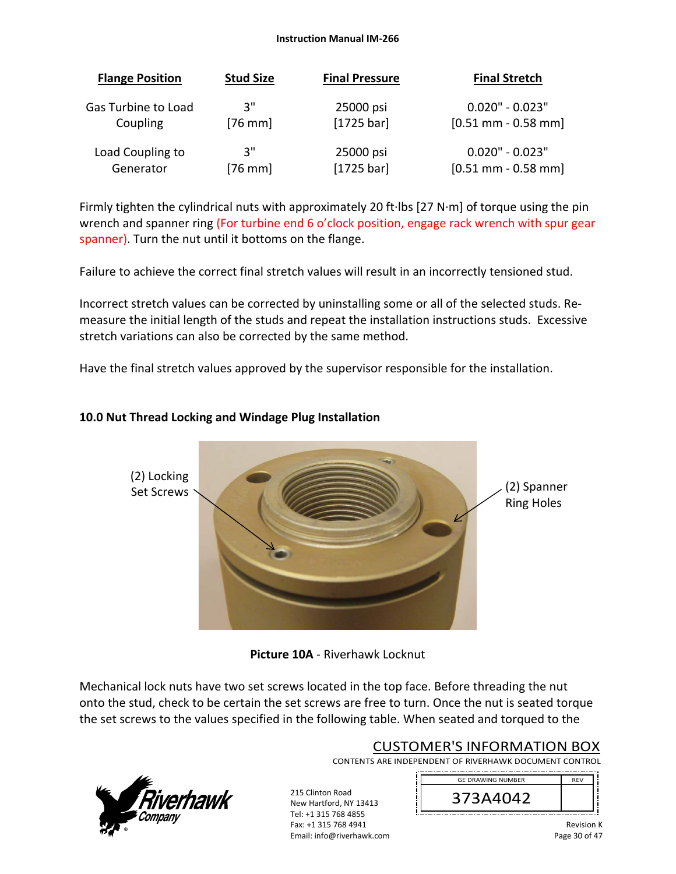#### **Instruction Manual IM‐266**

| <b>Flange Position</b> | <b>Stud Size</b>  | <b>Final Pressure</b> | <b>Final Stretch</b>  |
|------------------------|-------------------|-----------------------|-----------------------|
| Gas Turbine to Load    | ີ 3"              | 25000 psi             | $0.020" - 0.023"$     |
| Coupling               | $[76$ mm]         | $[1725 \text{ bar}]$  | $[0.51$ mm - 0.58 mm] |
| Load Coupling to       | ີ 3"              | 25000 psi             | $0.020" - 0.023"$     |
| Generator              | $[76 \text{ mm}]$ | $[1725 \text{ bar}]$  | $[0.51$ mm - 0.58 mm] |

Firmly tighten the cylindrical nuts with approximately 20 ft∙lbs [27 N∙m] of torque using the pin wrench and spanner ring (For turbine end 6 o'clock position, engage rack wrench with spur gear spanner). Turn the nut until it bottoms on the flange.

Failure to achieve the correct final stretch values will result in an incorrectly tensioned stud.

Incorrect stretch values can be corrected by uninstalling some or all of the selected studs. Re‐ measure the initial length of the studs and repeat the installation instructions studs. Excessive stretch variations can also be corrected by the same method.

Have the final stretch values approved by the supervisor responsible for the installation.

# **10.0 Nut Thread Locking and Windage Plug Installation**



**Picture 10A** ‐ Riverhawk Locknut

Mechanical lock nuts have two set screws located in the top face. Before threading the nut onto the stud, check to be certain the set screws are free to turn. Once the nut is seated torque the set screws to the values specified in the following table. When seated and torqued to the

> 215 Clinton Road New Hartford, NY 13413 Tel: +1 315 768 4855 Fax: +1 315 768 4941 Email: info@riverhawk.com



# CUSTOMER'S INFORMATION BOX

CONTENTS ARE INDEPENDENT OF RIVERHAWK DOCUMENT CONTROL 

> REV 373A4042 GE DRAWING NUMBER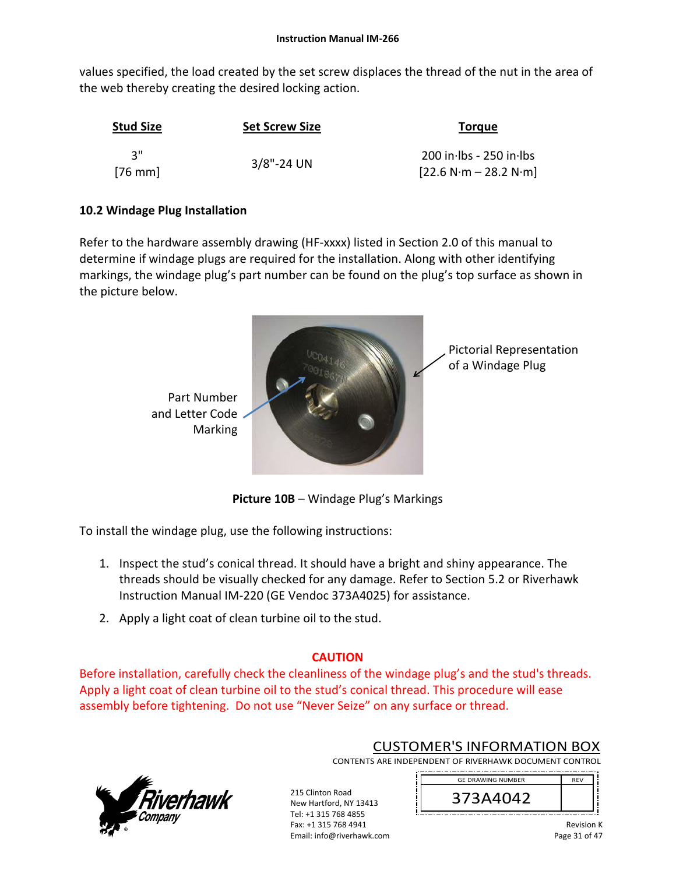values specified, the load created by the set screw displaces the thread of the nut in the area of the web thereby creating the desired locking action.

| <b>Stud Size</b>  | <b>Set Screw Size</b> | <b>Torque</b>                                        |
|-------------------|-----------------------|------------------------------------------------------|
| ູ ຊ‼<br>$[76$ mm] | $3/8$ "-24 UN         | $200$ in lbs - 250 in lbs<br>$[22.6 N·m - 28.2 N·m]$ |

# **10.2 Windage Plug Installation**

Refer to the hardware assembly drawing (HF-xxxx) listed in Section 2.0 of this manual to determine if windage plugs are required for the installation. Along with other identifying markings, the windage plug's part number can be found on the plug's top surface as shown in the picture below.



**Picture 10B** – Windage Plug's Markings

To install the windage plug, use the following instructions:

- 1. Inspect the stud's conical thread. It should have a bright and shiny appearance. The threads should be visually checked for any damage. Refer to Section 5.2 or Riverhawk Instruction Manual IM‐220 (GE Vendoc 373A4025) for assistance.
- 2. Apply a light coat of clean turbine oil to the stud.

# **CAUTION**

Before installation, carefully check the cleanliness of the windage plug's and the stud's threads. Apply a light coat of clean turbine oil to the stud's conical thread. This procedure will ease assembly before tightening. Do not use "Never Seize" on any surface or thread.

> 215 Clinton Road New Hartford, NY 13413 Tel: +1 315 768 4855 Fax: +1 315 768 4941 Email: info@riverhawk.com



CUSTOMER'S INFORMATION BOX

CONTENTS ARE INDEPENDENT OF RIVERHAWK DOCUMENT CONTROL 

> 373A4042 GE DRAWING NUMBER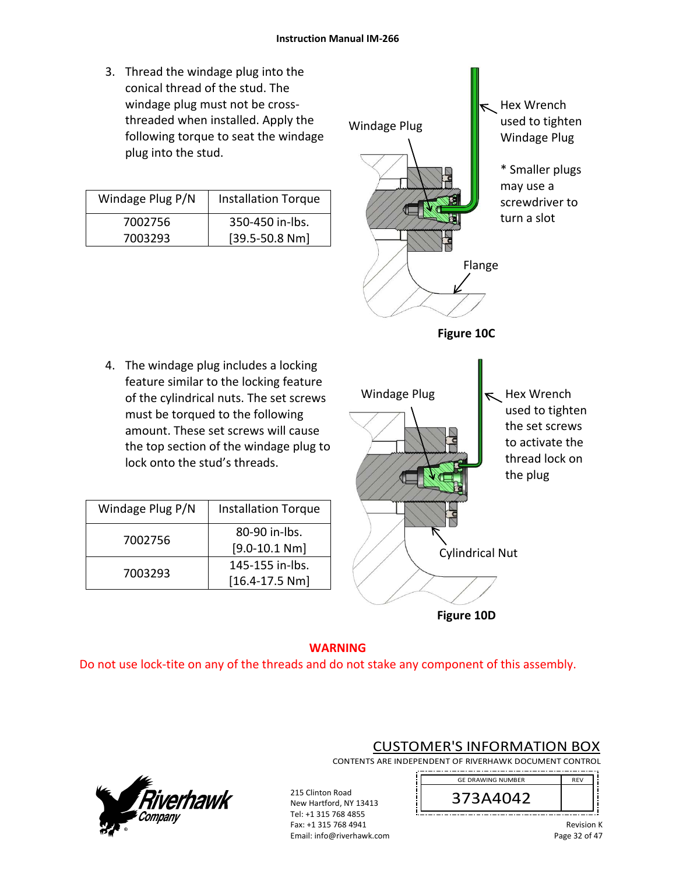3. Thread the windage plug into the conical thread of the stud. The windage plug must not be cross‐ threaded when installed. Apply the following torque to seat the windage plug into the stud.

| Windage Plug P/N | <b>Installation Torque</b> |
|------------------|----------------------------|
| 7002756          | 350-450 in-lbs.            |
| 7003293          | $[39.5 - 50.8 Nm]$         |

4. The windage plug includes a locking feature similar to the locking feature of the cylindrical nuts. The set screws must be torqued to the following amount. These set screws will cause

lock onto the stud's threads.

Windage Plug  $P/N$  | Installation Torque

7002756 80‐90 in‐lbs.

7003293 145-155 in-lbs.

[9.0‐10.1 Nm]

[16.4‐17.5 Nm]



**Figure 10D**

# **WARNING**  Do not use lock‐tite on any of the threads and do not stake any component of this assembly.

215 Clinton Road New Hartford, NY 13413 Tel: +1 315 768 4855 Fax: +1 315 768 4941 Email: info@riverhawk.com



CONTENTS ARE INDEPENDENT OF RIVERHAWK DOCUMENT CONTROL 



CUSTOMER'S INFORMATION BOX

Revision K Page 32 of 47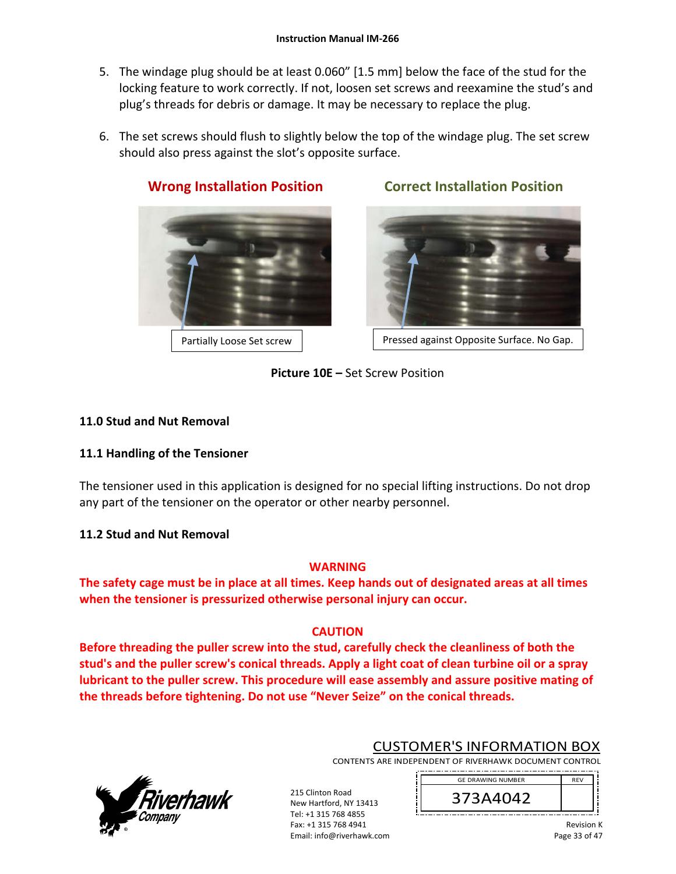- 5. The windage plug should be at least 0.060" [1.5 mm] below the face of the stud for the locking feature to work correctly. If not, loosen set screws and reexamine the stud's and plug's threads for debris or damage. It may be necessary to replace the plug.
- 6. The set screws should flush to slightly below the top of the windage plug. The set screw should also press against the slot's opposite surface.



# **Wrong Installation Position Correct Installation Position**

Partially Loose Set screw | Ressed against Opposite Surface. No Gap.

# **Picture 10E –** Set Screw Position

# **11.0 Stud and Nut Removal**

# **11.1 Handling of the Tensioner**

The tensioner used in this application is designed for no special lifting instructions. Do not drop any part of the tensioner on the operator or other nearby personnel.

# **11.2 Stud and Nut Removal**

# **WARNING**

**The safety cage must be in place at all times. Keep hands out of designated areas at all times when the tensioner is pressurized otherwise personal injury can occur.** 

# **CAUTION**

**Before threading the puller screw into the stud, carefully check the cleanliness of both the stud's and the puller screw's conical threads. Apply a light coat of clean turbine oil or a spray lubricant to the puller screw. This procedure will ease assembly and assure positive mating of the threads before tightening. Do not use "Never Seize" on the conical threads.** 

> 215 Clinton Road New Hartford, NY 13413 Tel: +1 315 768 4855 Fax: +1 315 768 4941 Email: info@riverhawk.com



CUSTOMER'S INFORMATION BOX

CONTENTS ARE INDEPENDENT OF RIVERHAWK DOCUMENT CONTROL 

> REV 373A4042 GE DRAWING NUMBER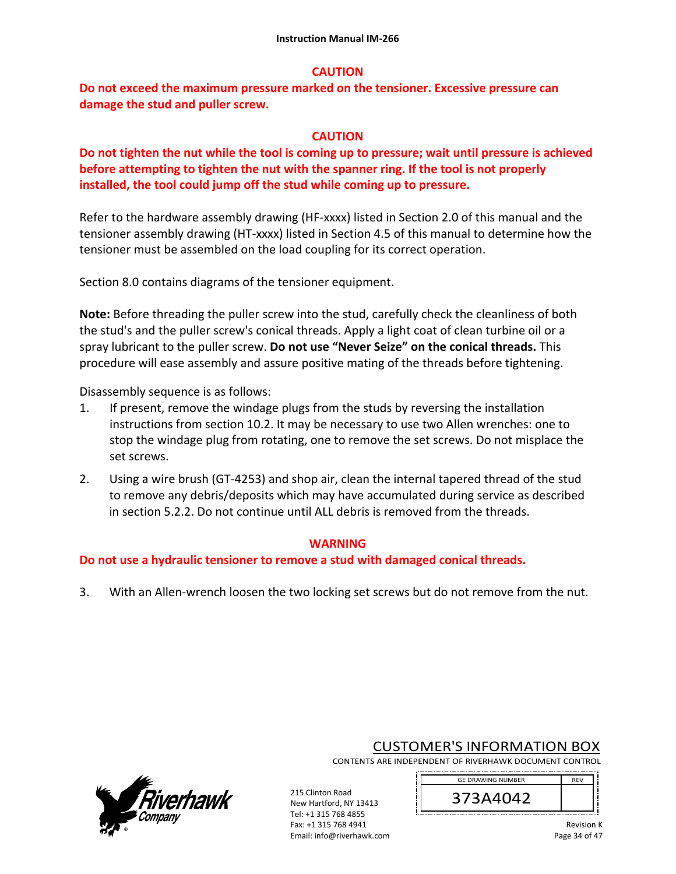#### **CAUTION**

**Do not exceed the maximum pressure marked on the tensioner. Excessive pressure can damage the stud and puller screw.** 

#### **CAUTION**

**Do not tighten the nut while the tool is coming up to pressure; wait until pressure is achieved before attempting to tighten the nut with the spanner ring. If the tool is not properly installed, the tool could jump off the stud while coming up to pressure.** 

Refer to the hardware assembly drawing (HF-xxxx) listed in Section 2.0 of this manual and the tensioner assembly drawing (HT‐xxxx) listed in Section 4.5 of this manual to determine how the tensioner must be assembled on the load coupling for its correct operation.

Section 8.0 contains diagrams of the tensioner equipment.

**Note:** Before threading the puller screw into the stud, carefully check the cleanliness of both the stud's and the puller screw's conical threads. Apply a light coat of clean turbine oil or a spray lubricant to the puller screw. **Do not use "Never Seize" on the conical threads.** This procedure will ease assembly and assure positive mating of the threads before tightening.

Disassembly sequence is as follows:

- 1. If present, remove the windage plugs from the studs by reversing the installation instructions from section 10.2. It may be necessary to use two Allen wrenches: one to stop the windage plug from rotating, one to remove the set screws. Do not misplace the set screws.
- 2. Using a wire brush (GT-4253) and shop air, clean the internal tapered thread of the stud to remove any debris/deposits which may have accumulated during service as described in section 5.2.2. Do not continue until ALL debris is removed from the threads.

#### **WARNING**

**Do not use a hydraulic tensioner to remove a stud with damaged conical threads.** 

3. With an Allen‐wrench loosen the two locking set screws but do not remove from the nut.

215 Clinton Road New Hartford, NY 13413 Tel: +1 315 768 4855 Fax: +1 315 768 4941 Email: info@riverhawk.com



CUSTOMER'S INFORMATION BOX

CONTENTS ARE INDEPENDENT OF RIVERHAWK DOCUMENT CONTROL 

> REV 373A4042 GE DRAWING NUMBER

\_\_\_\_\_\_\_\_\_\_\_\_\_\_\_\_\_\_\_\_\_\_\_\_\_\_\_\_\_\_\_\_\_\_\_\_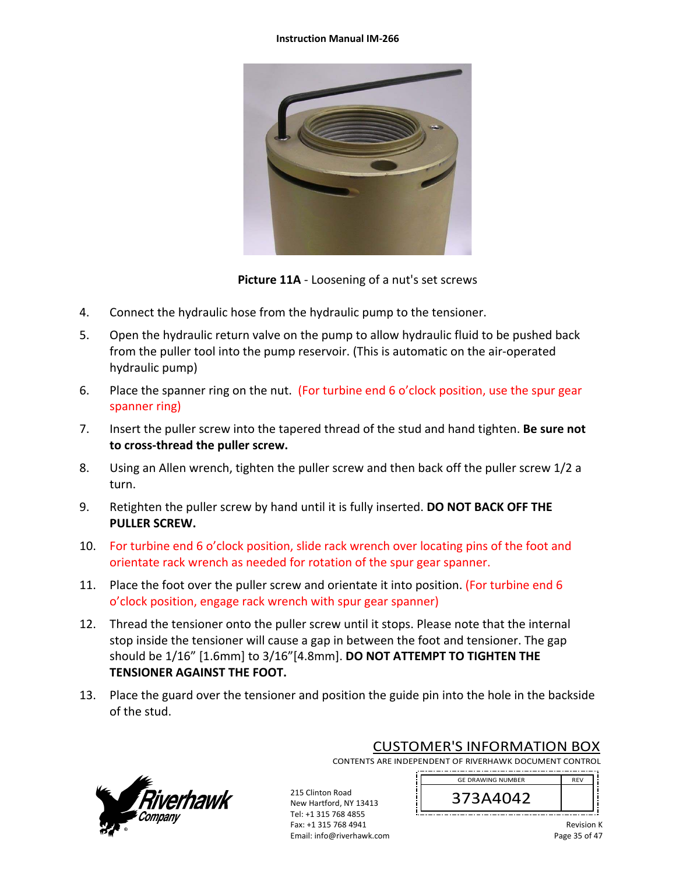#### **Instruction Manual IM‐266**



**Picture 11A** ‐ Loosening of a nut's set screws

- 4. Connect the hydraulic hose from the hydraulic pump to the tensioner.
- 5. Open the hydraulic return valve on the pump to allow hydraulic fluid to be pushed back from the puller tool into the pump reservoir. (This is automatic on the air‐operated hydraulic pump)
- 6. Place the spanner ring on the nut. (For turbine end 6 o'clock position, use the spur gear spanner ring)
- 7. Insert the puller screw into the tapered thread of the stud and hand tighten. **Be sure not to cross‐thread the puller screw.**
- 8. Using an Allen wrench, tighten the puller screw and then back off the puller screw 1/2 a turn.
- 9. Retighten the puller screw by hand until it is fully inserted. **DO NOT BACK OFF THE PULLER SCREW.**
- 10. For turbine end 6 o'clock position, slide rack wrench over locating pins of the foot and orientate rack wrench as needed for rotation of the spur gear spanner.
- 11. Place the foot over the puller screw and orientate it into position. (For turbine end 6 o'clock position, engage rack wrench with spur gear spanner)
- 12. Thread the tensioner onto the puller screw until it stops. Please note that the internal stop inside the tensioner will cause a gap in between the foot and tensioner. The gap should be 1/16" [1.6mm] to 3/16"[4.8mm]. **DO NOT ATTEMPT TO TIGHTEN THE TENSIONER AGAINST THE FOOT.**
- 13. Place the guard over the tensioner and position the guide pin into the hole in the backside of the stud.



CUSTOMER'S INFORMATION BOX

CONTENTS ARE INDEPENDENT OF RIVERHAWK DOCUMENT CONTROL 

215 Clinton Road New Hartford, NY 13413 Tel: +1 315 768 4855 Fax: +1 315 768 4941 Email: info@riverhawk.com

GE DRAWING NUMBER REV 373A4042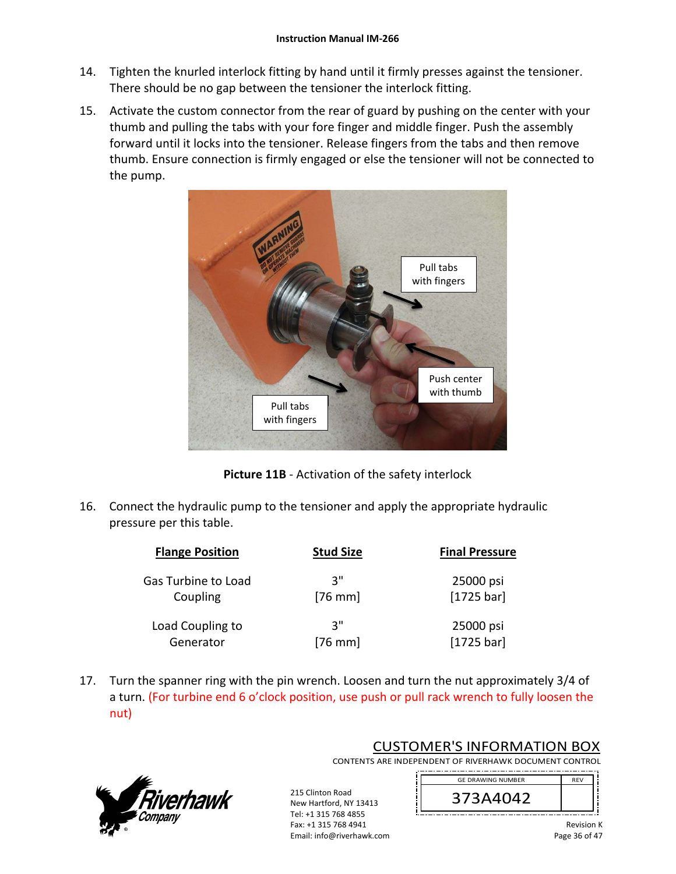- 14. Tighten the knurled interlock fitting by hand until it firmly presses against the tensioner. There should be no gap between the tensioner the interlock fitting.
- 15. Activate the custom connector from the rear of guard by pushing on the center with your thumb and pulling the tabs with your fore finger and middle finger. Push the assembly forward until it locks into the tensioner. Release fingers from the tabs and then remove thumb. Ensure connection is firmly engaged or else the tensioner will not be connected to the pump.



**Picture 11B** ‐ Activation of the safety interlock

16. Connect the hydraulic pump to the tensioner and apply the appropriate hydraulic pressure per this table.

| <b>Flange Position</b> | <b>Stud Size</b> | <b>Final Pressure</b> |
|------------------------|------------------|-----------------------|
| Gas Turbine to Load    | יי 3             | 25000 psi             |
| Coupling               | $[76$ mm         | $[1725 \text{ bar}]$  |
| Load Coupling to       | יי 3             | 25000 psi             |
| Generator              | $[76$ mm]        | [1725 bar]            |

17. Turn the spanner ring with the pin wrench. Loosen and turn the nut approximately 3/4 of a turn. (For turbine end 6 o'clock position, use push or pull rack wrench to fully loosen the nut)

> Fax: +1 315 768 4941 Email: info@riverhawk.com



CUSTOMER'S INFORMATION BOX CONTENTS ARE INDEPENDENT OF RIVERHAWK DOCUMENT CONTROL

215 Clinton Road New Hartford, NY 13413 Tel: +1 315 768 4855 373A4042 GE DRAWING NUMBER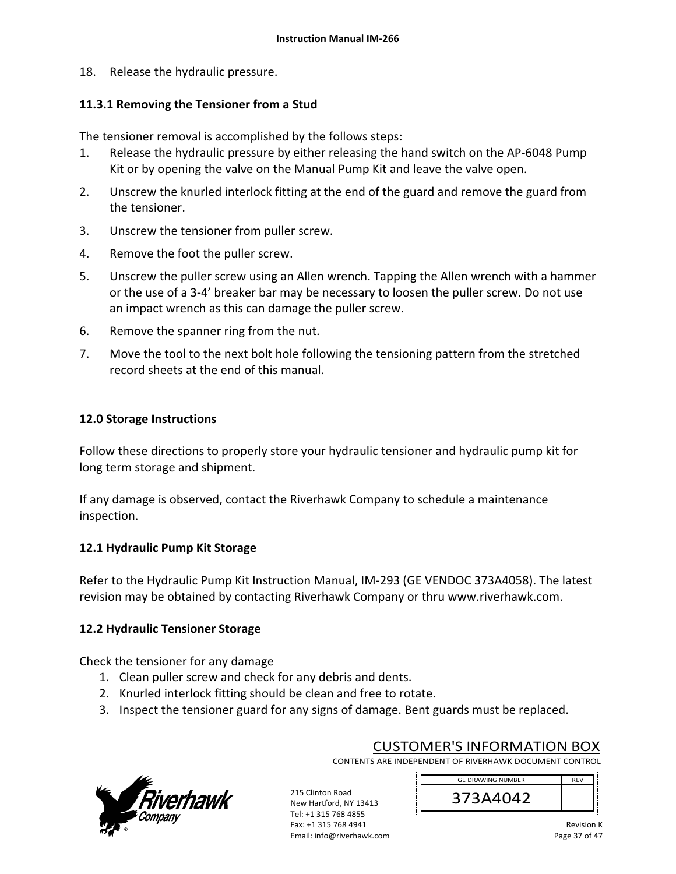18. Release the hydraulic pressure.

## **11.3.1 Removing the Tensioner from a Stud**

The tensioner removal is accomplished by the follows steps:

- 1. Release the hydraulic pressure by either releasing the hand switch on the AP‐6048 Pump Kit or by opening the valve on the Manual Pump Kit and leave the valve open.
- 2. Unscrew the knurled interlock fitting at the end of the guard and remove the guard from the tensioner.
- 3. Unscrew the tensioner from puller screw.
- 4. Remove the foot the puller screw.
- 5. Unscrew the puller screw using an Allen wrench. Tapping the Allen wrench with a hammer or the use of a 3‐4' breaker bar may be necessary to loosen the puller screw. Do not use an impact wrench as this can damage the puller screw.
- 6. Remove the spanner ring from the nut.
- 7. Move the tool to the next bolt hole following the tensioning pattern from the stretched record sheets at the end of this manual.

# **12.0 Storage Instructions**

Follow these directions to properly store your hydraulic tensioner and hydraulic pump kit for long term storage and shipment.

If any damage is observed, contact the Riverhawk Company to schedule a maintenance inspection.

### **12.1 Hydraulic Pump Kit Storage**

Refer to the Hydraulic Pump Kit Instruction Manual, IM‐293 (GE VENDOC 373A4058). The latest revision may be obtained by contacting Riverhawk Company or thru www.riverhawk.com.

### **12.2 Hydraulic Tensioner Storage**

Check the tensioner for any damage

- 1. Clean puller screw and check for any debris and dents.
- 2. Knurled interlock fitting should be clean and free to rotate.
- 3. Inspect the tensioner guard for any signs of damage. Bent guards must be replaced.



CUSTOMER'S INFORMATION BOX CONTENTS ARE INDEPENDENT OF RIVERHAWK DOCUMENT CONTROL

215 Clinton Road New Hartford, NY 13413 Tel: +1 315 768 4855 Fax: +1 315 768 4941 Email: info@riverhawk.com

GE DRAWING NUMBER REV 373A4042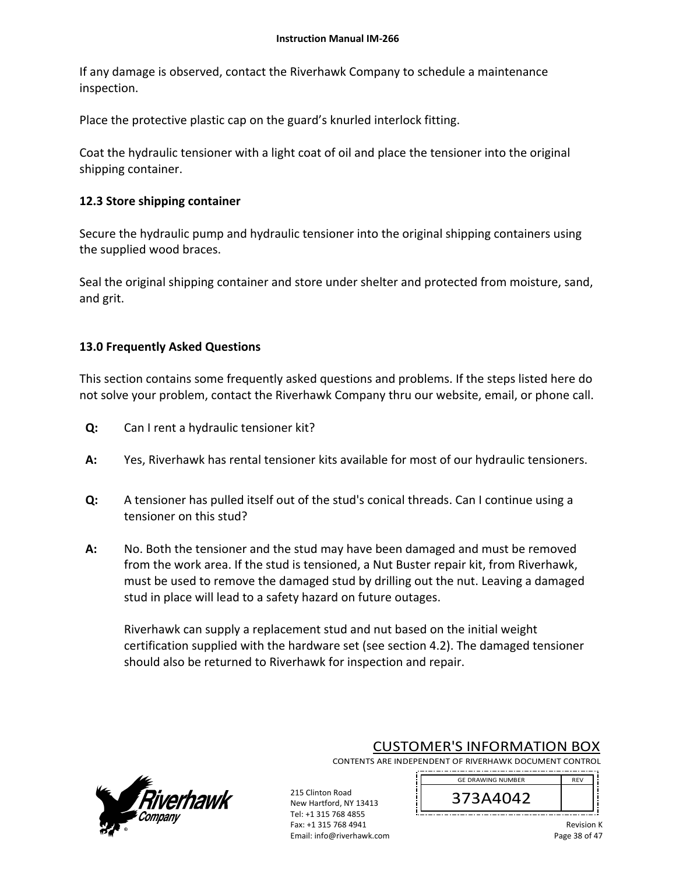If any damage is observed, contact the Riverhawk Company to schedule a maintenance inspection.

Place the protective plastic cap on the guard's knurled interlock fitting.

Coat the hydraulic tensioner with a light coat of oil and place the tensioner into the original shipping container.

## **12.3 Store shipping container**

Secure the hydraulic pump and hydraulic tensioner into the original shipping containers using the supplied wood braces.

Seal the original shipping container and store under shelter and protected from moisture, sand, and grit.

# **13.0 Frequently Asked Questions**

This section contains some frequently asked questions and problems. If the steps listed here do not solve your problem, contact the Riverhawk Company thru our website, email, or phone call.

- **Q:**  Can I rent a hydraulic tensioner kit?
- **A:**  Yes, Riverhawk has rental tensioner kits available for most of our hydraulic tensioners.
- **Q:**  A tensioner has pulled itself out of the stud's conical threads. Can I continue using a tensioner on this stud?
- **A:**  No. Both the tensioner and the stud may have been damaged and must be removed from the work area. If the stud is tensioned, a Nut Buster repair kit, from Riverhawk, must be used to remove the damaged stud by drilling out the nut. Leaving a damaged stud in place will lead to a safety hazard on future outages.

215 Clinton Road New Hartford, NY 13413 Tel: +1 315 768 4855 Fax: +1 315 768 4941 Email: info@riverhawk.com

Riverhawk can supply a replacement stud and nut based on the initial weight certification supplied with the hardware set (see section 4.2). The damaged tensioner should also be returned to Riverhawk for inspection and repair.



CUSTOMER'S INFORMATION BOX

CONTENTS ARE INDEPENDENT OF RIVERHAWK DOCUMENT CONTROL 

> GE DRAWING NUMBER REV 373A4042 \_\_\_\_\_\_\_\_\_\_\_\_\_\_\_\_\_\_\_\_\_\_\_\_\_\_\_\_\_\_\_\_\_\_\_\_

> > Revision K Page 38 of 47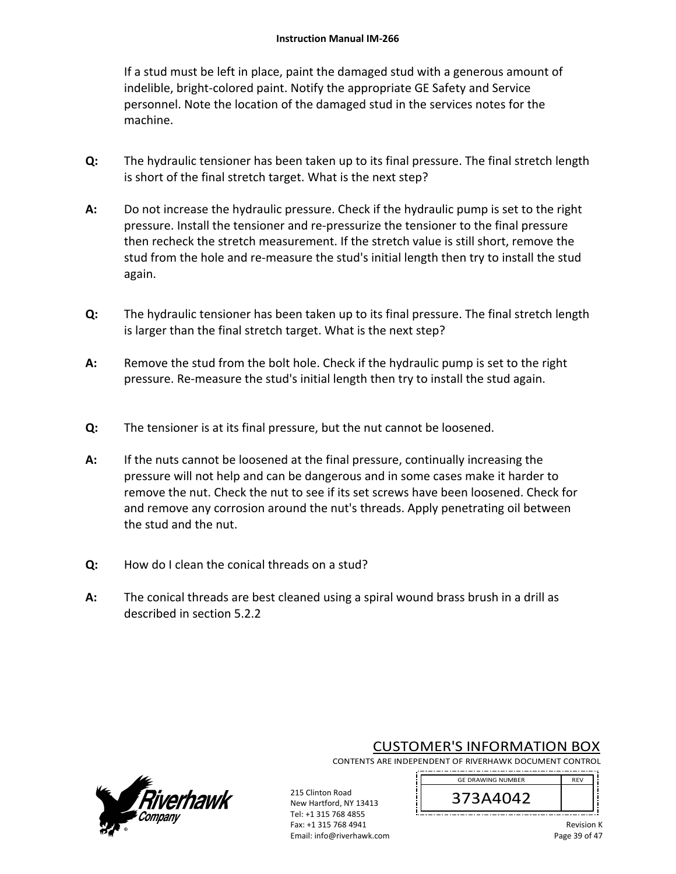If a stud must be left in place, paint the damaged stud with a generous amount of indelible, bright‐colored paint. Notify the appropriate GE Safety and Service personnel. Note the location of the damaged stud in the services notes for the machine.

- **Q:**  The hydraulic tensioner has been taken up to its final pressure. The final stretch length is short of the final stretch target. What is the next step?
- **A:**  Do not increase the hydraulic pressure. Check if the hydraulic pump is set to the right pressure. Install the tensioner and re‐pressurize the tensioner to the final pressure then recheck the stretch measurement. If the stretch value is still short, remove the stud from the hole and re-measure the stud's initial length then try to install the stud again.
- **Q:**  The hydraulic tensioner has been taken up to its final pressure. The final stretch length is larger than the final stretch target. What is the next step?
- **A:**  Remove the stud from the bolt hole. Check if the hydraulic pump is set to the right pressure. Re‐measure the stud's initial length then try to install the stud again.
- **Q:**  The tensioner is at its final pressure, but the nut cannot be loosened.
- **A:**  If the nuts cannot be loosened at the final pressure, continually increasing the pressure will not help and can be dangerous and in some cases make it harder to remove the nut. Check the nut to see if its set screws have been loosened. Check for and remove any corrosion around the nut's threads. Apply penetrating oil between the stud and the nut.
- **Q:**  How do I clean the conical threads on a stud?
- **A:**  The conical threads are best cleaned using a spiral wound brass brush in a drill as described in section 5.2.2

215 Clinton Road New Hartford, NY 13413 Tel: +1 315 768 4855 Fax: +1 315 768 4941 Email: info@riverhawk.com



CUSTOMER'S INFORMATION BOX

CONTENTS ARE INDEPENDENT OF RIVERHAWK DOCUMENT CONTROL 

> REV 373A4042 GE DRAWING NUMBER

Revision K Page 39 of 47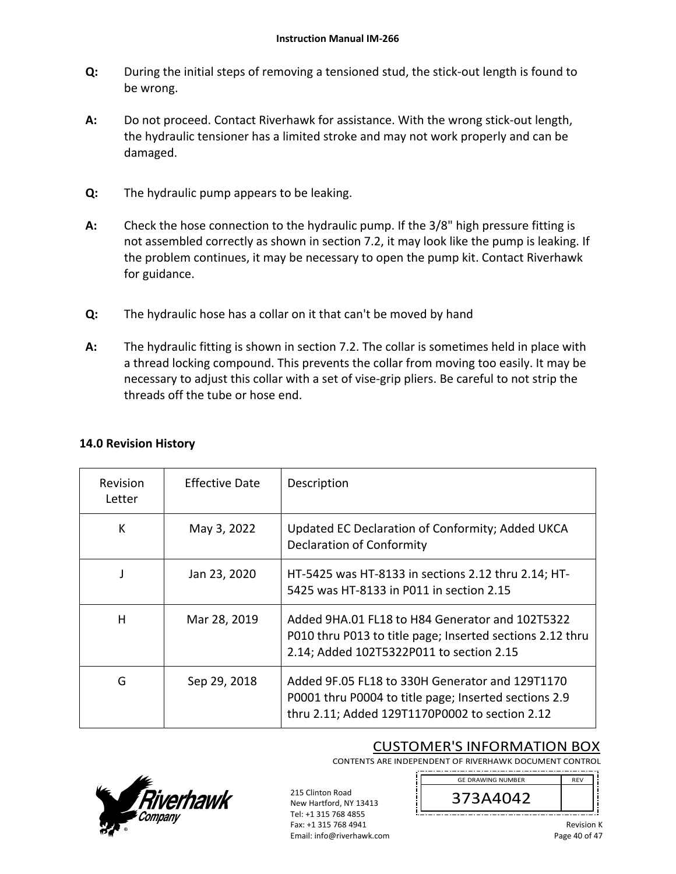- **Q:**  During the initial steps of removing a tensioned stud, the stick‐out length is found to be wrong.
- **A:**  Do not proceed. Contact Riverhawk for assistance. With the wrong stick-out length, the hydraulic tensioner has a limited stroke and may not work properly and can be damaged.
- **Q:**  The hydraulic pump appears to be leaking.
- **A:**  Check the hose connection to the hydraulic pump. If the 3/8" high pressure fitting is not assembled correctly as shown in section 7.2, it may look like the pump is leaking. If the problem continues, it may be necessary to open the pump kit. Contact Riverhawk for guidance.
- **Q:**  The hydraulic hose has a collar on it that can't be moved by hand
- **A:**  The hydraulic fitting is shown in section 7.2. The collar is sometimes held in place with a thread locking compound. This prevents the collar from moving too easily. It may be necessary to adjust this collar with a set of vise-grip pliers. Be careful to not strip the threads off the tube or hose end.

| <b>Revision</b><br>Letter | Effective Date | Description                                                                                                                                                |
|---------------------------|----------------|------------------------------------------------------------------------------------------------------------------------------------------------------------|
| К                         | May 3, 2022    | Updated EC Declaration of Conformity; Added UKCA<br><b>Declaration of Conformity</b>                                                                       |
|                           | Jan 23, 2020   | HT-5425 was HT-8133 in sections 2.12 thru 2.14; HT-<br>5425 was HT-8133 in P011 in section 2.15                                                            |
| н                         | Mar 28, 2019   | Added 9HA.01 FL18 to H84 Generator and 102T5322<br>P010 thru P013 to title page; Inserted sections 2.12 thru<br>2.14; Added 102T5322P011 to section 2.15   |
| G                         | Sep 29, 2018   | Added 9F.05 FL18 to 330H Generator and 129T1170<br>P0001 thru P0004 to title page; Inserted sections 2.9<br>thru 2.11; Added 129T1170P0002 to section 2.12 |

# **14.0 Revision History**

# CUSTOMER'S INFORMATION BOX

CONTENTS ARE INDEPENDENT OF RIVERHAWK DOCUMENT CONTROL



215 Clinton Road New Hartford, NY 13413 Tel: +1 315 768 4855 Fax: +1 315 768 4941 Email: info@riverhawk.com

REV 373A4042 GE DRAWING NUMBER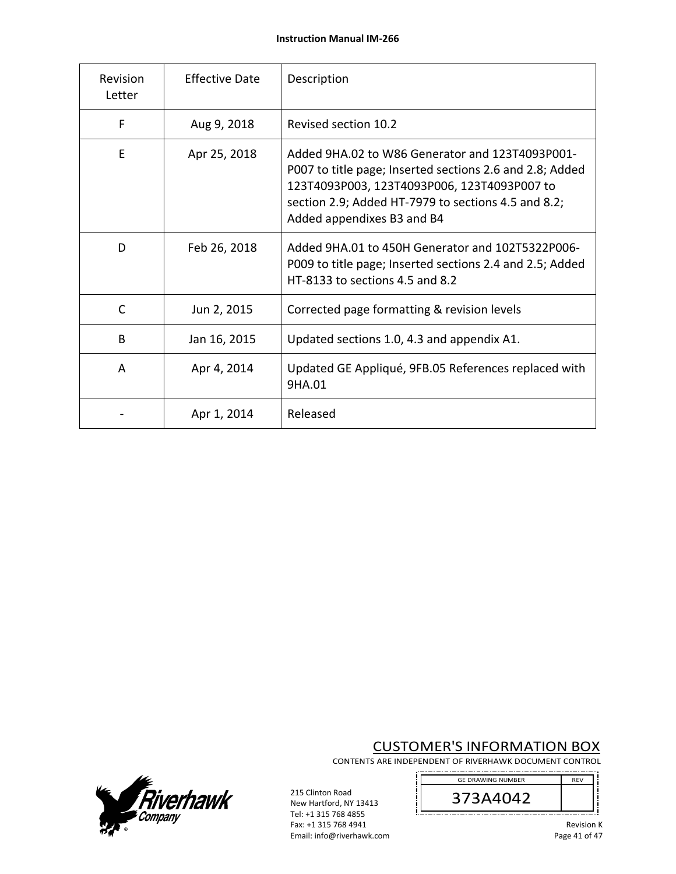| Revision<br>Letter | <b>Effective Date</b> | Description                                                                                                                                                                                                                                     |
|--------------------|-----------------------|-------------------------------------------------------------------------------------------------------------------------------------------------------------------------------------------------------------------------------------------------|
| F                  | Aug 9, 2018           | Revised section 10.2                                                                                                                                                                                                                            |
| E                  | Apr 25, 2018          | Added 9HA.02 to W86 Generator and 123T4093P001-<br>P007 to title page; Inserted sections 2.6 and 2.8; Added<br>123T4093P003, 123T4093P006, 123T4093P007 to<br>section 2.9; Added HT-7979 to sections 4.5 and 8.2;<br>Added appendixes B3 and B4 |
| D                  | Feb 26, 2018          | Added 9HA.01 to 450H Generator and 102T5322P006-<br>P009 to title page; Inserted sections 2.4 and 2.5; Added<br>HT-8133 to sections 4.5 and 8.2                                                                                                 |
| C                  | Jun 2, 2015           | Corrected page formatting & revision levels                                                                                                                                                                                                     |
| B                  | Jan 16, 2015          | Updated sections 1.0, 4.3 and appendix A1.                                                                                                                                                                                                      |
| A                  | Apr 4, 2014           | Updated GE Appliqué, 9FB.05 References replaced with<br>9HA.01                                                                                                                                                                                  |
|                    | Apr 1, 2014           | Released                                                                                                                                                                                                                                        |

# CUSTOMER'S INFORMATION BOX

CONTENTS ARE INDEPENDENT OF RIVERHAWK DOCUMENT CONTROL

j



*Fiverhawk* 

215 Clinton Road New Hartford, NY 13413 Tel: +1 315 768 4855 Fax: +1 315 768 4941 Email: info@riverhawk.com

Revision K Page 41 of 47

i ;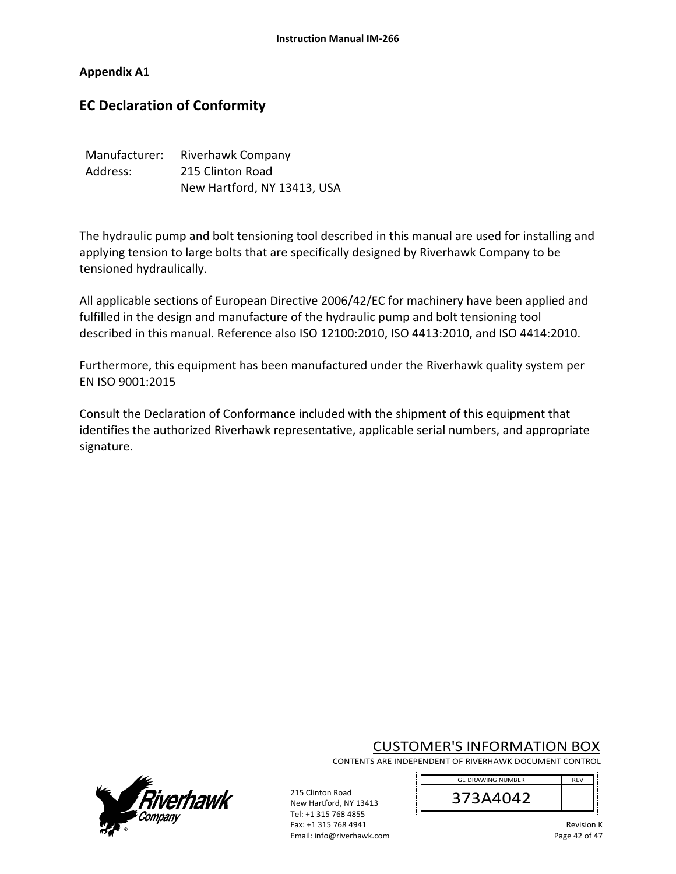#### **Appendix A1**

# **EC Declaration of Conformity**

| Manufacturer: | <b>Riverhawk Company</b>    |
|---------------|-----------------------------|
| Address:      | 215 Clinton Road            |
|               | New Hartford, NY 13413, USA |

The hydraulic pump and bolt tensioning tool described in this manual are used for installing and applying tension to large bolts that are specifically designed by Riverhawk Company to be tensioned hydraulically.

All applicable sections of European Directive 2006/42/EC for machinery have been applied and fulfilled in the design and manufacture of the hydraulic pump and bolt tensioning tool described in this manual. Reference also ISO 12100:2010, ISO 4413:2010, and ISO 4414:2010.

Furthermore, this equipment has been manufactured under the Riverhawk quality system per EN ISO 9001:2015

Consult the Declaration of Conformance included with the shipment of this equipment that identifies the authorized Riverhawk representative, applicable serial numbers, and appropriate signature.

## CUSTOMER'S INFORMATION BOX

CONTENTS ARE INDEPENDENT OF RIVERHAWK DOCUMENT CONTROL





215 Clinton Road New Hartford, NY 13413 Tel: +1 315 768 4855 Fax: +1 315 768 4941 Email: info@riverhawk.com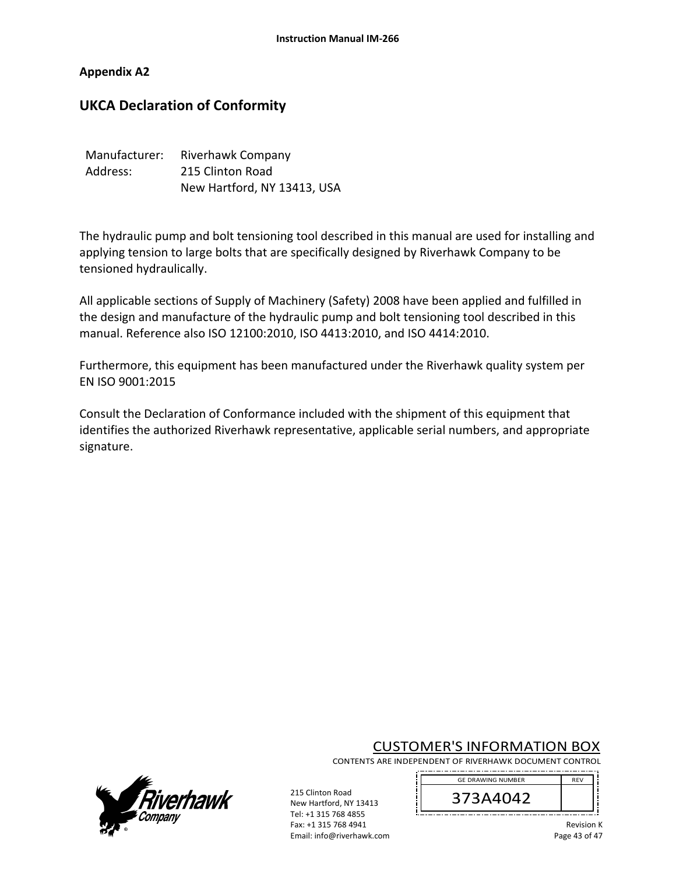#### **Appendix A2**

# **UKCA Declaration of Conformity**

| Manufacturer: | Riverhawk Company           |
|---------------|-----------------------------|
| Address:      | 215 Clinton Road            |
|               | New Hartford, NY 13413, USA |

The hydraulic pump and bolt tensioning tool described in this manual are used for installing and applying tension to large bolts that are specifically designed by Riverhawk Company to be tensioned hydraulically.

All applicable sections of Supply of Machinery (Safety) 2008 have been applied and fulfilled in the design and manufacture of the hydraulic pump and bolt tensioning tool described in this manual. Reference also ISO 12100:2010, ISO 4413:2010, and ISO 4414:2010.

Furthermore, this equipment has been manufactured under the Riverhawk quality system per EN ISO 9001:2015

Consult the Declaration of Conformance included with the shipment of this equipment that identifies the authorized Riverhawk representative, applicable serial numbers, and appropriate signature.

## CUSTOMER'S INFORMATION BOX

CONTENTS ARE INDEPENDENT OF RIVERHAWK DOCUMENT CONTROL





215 Clinton Road New Hartford, NY 13413 Tel: +1 315 768 4855 Fax: +1 315 768 4941 Email: info@riverhawk.com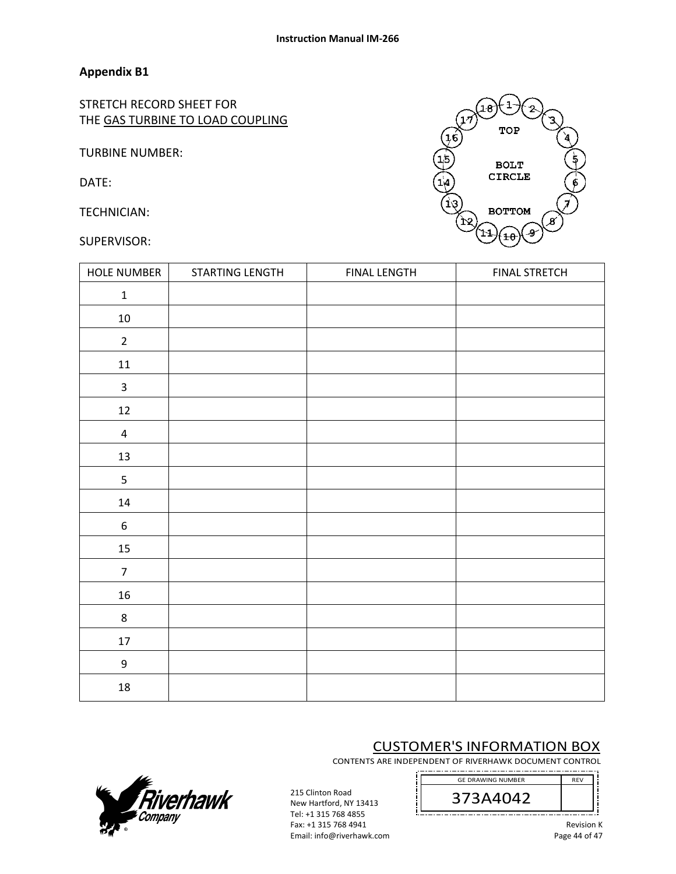STRETCH RECORD SHEET FOR THE GAS TURBINE TO LOAD COUPLING

TURBINE NUMBER:

DATE:

TECHNICIAN:

#### SUPERVISOR:



| <b>HOLE NUMBER</b>      | STARTING LENGTH | <b>FINAL LENGTH</b> | <b>FINAL STRETCH</b> |
|-------------------------|-----------------|---------------------|----------------------|
| $\mathbf 1$             |                 |                     |                      |
| $10\,$                  |                 |                     |                      |
| $\overline{2}$          |                 |                     |                      |
| $11\,$                  |                 |                     |                      |
| $\mathbf{3}$            |                 |                     |                      |
| $12\,$                  |                 |                     |                      |
| $\overline{\mathbf{4}}$ |                 |                     |                      |
| 13                      |                 |                     |                      |
| 5                       |                 |                     |                      |
| $14\,$                  |                 |                     |                      |
| $\boldsymbol{6}$        |                 |                     |                      |
| 15                      |                 |                     |                      |
| $\overline{7}$          |                 |                     |                      |
| $16\,$                  |                 |                     |                      |
| $\,8\,$                 |                 |                     |                      |
| 17                      |                 |                     |                      |
| $\boldsymbol{9}$        |                 |                     |                      |
| $18\,$                  |                 |                     |                      |

# CUSTOMER'S INFORMATION BOX

CONTENTS ARE INDEPENDENT OF RIVERHAWK DOCUMENT CONTROL



----------------------------------



215 Clinton Road New Hartford, NY 13413 Tel: +1 315 768 4855 Fax: +1 315 768 4941 Email: info@riverhawk.com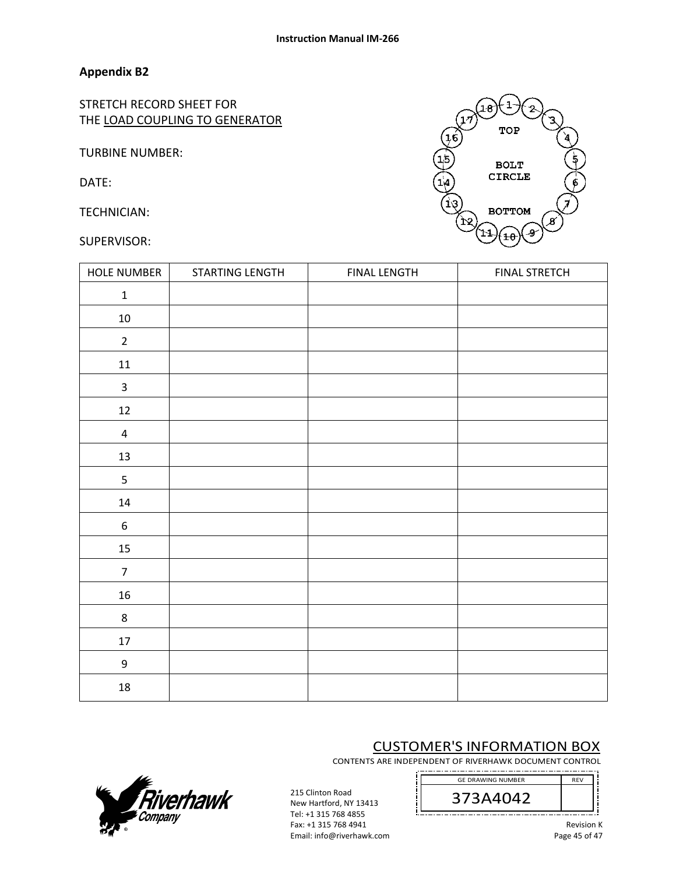STRETCH RECORD SHEET FOR THE LOAD COUPLING TO GENERATOR

TURBINE NUMBER:

DATE:

TECHNICIAN:

#### SUPERVISOR:



| <b>HOLE NUMBER</b> | STARTING LENGTH | <b>FINAL LENGTH</b> | <b>FINAL STRETCH</b> |
|--------------------|-----------------|---------------------|----------------------|
| $\mathbf 1$        |                 |                     |                      |
| $10\,$             |                 |                     |                      |
| $\overline{2}$     |                 |                     |                      |
| $11\,$             |                 |                     |                      |
| $\mathsf 3$        |                 |                     |                      |
| 12                 |                 |                     |                      |
| $\overline{4}$     |                 |                     |                      |
| 13                 |                 |                     |                      |
| 5                  |                 |                     |                      |
| $14\,$             |                 |                     |                      |
| $\boldsymbol{6}$   |                 |                     |                      |
| 15                 |                 |                     |                      |
| $\overline{7}$     |                 |                     |                      |
| 16                 |                 |                     |                      |
| $\,8\,$            |                 |                     |                      |
| $17\,$             |                 |                     |                      |
| $\boldsymbol{9}$   |                 |                     |                      |
| ${\bf 18}$         |                 |                     |                      |

# CUSTOMER'S INFORMATION BOX

CONTENTS ARE INDEPENDENT OF RIVERHAWK DOCUMENT CONTROL



----------------------------------



215 Clinton Road New Hartford, NY 13413 Tel: +1 315 768 4855 Fax: +1 315 768 4941 Email: info@riverhawk.com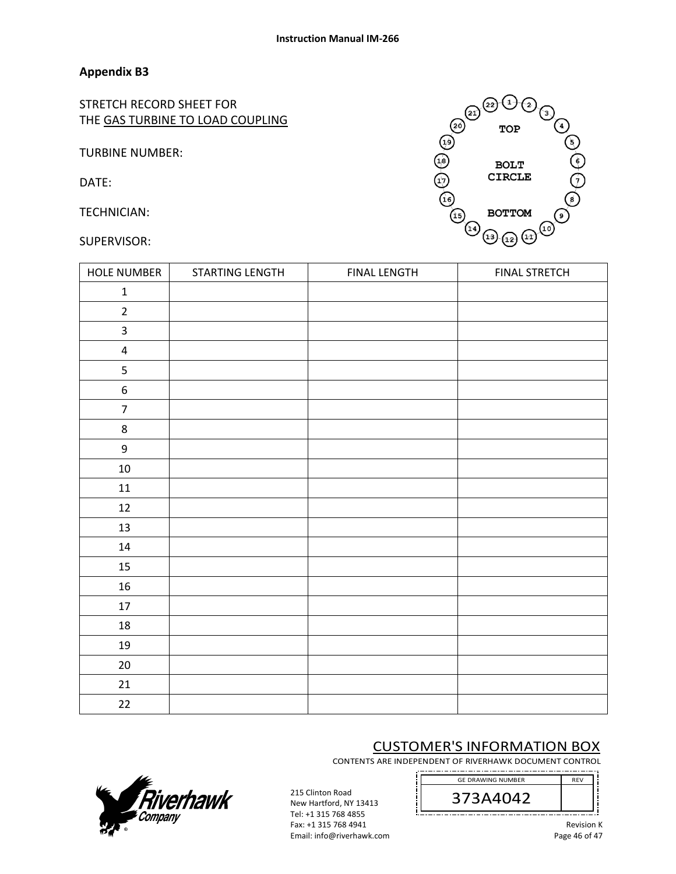STRETCH RECORD SHEET FOR THE GAS TURBINE TO LOAD COUPLING

TURBINE NUMBER:

DATE:

TECHNICIAN:

SUPERVISOR:



| <b>HOLE NUMBER</b> | STARTING LENGTH | <b>FINAL LENGTH</b> | <b>FINAL STRETCH</b> |
|--------------------|-----------------|---------------------|----------------------|
| $\mathbf 1$        |                 |                     |                      |
| $\overline{2}$     |                 |                     |                      |
| 3                  |                 |                     |                      |
| $\pmb{4}$          |                 |                     |                      |
| 5                  |                 |                     |                      |
| $\boldsymbol{6}$   |                 |                     |                      |
| $\overline{7}$     |                 |                     |                      |
| $\bf 8$            |                 |                     |                      |
| $\boldsymbol{9}$   |                 |                     |                      |
| $10\,$             |                 |                     |                      |
| 11                 |                 |                     |                      |
| 12                 |                 |                     |                      |
| 13                 |                 |                     |                      |
| 14                 |                 |                     |                      |
| 15                 |                 |                     |                      |
| 16                 |                 |                     |                      |
| 17                 |                 |                     |                      |
| 18                 |                 |                     |                      |
| 19                 |                 |                     |                      |
| $20\,$             |                 |                     |                      |
| 21                 |                 |                     |                      |
| 22                 |                 |                     |                      |

# CUSTOMER'S INFORMATION BOX

CONTENTS ARE INDEPENDENT OF RIVERHAWK DOCUMENT CONTROL



---------------------------------



215 Clinton Road New Hartford, NY 13413 Tel: +1 315 768 4855 Fax: +1 315 768 4941 Email: info@riverhawk.com